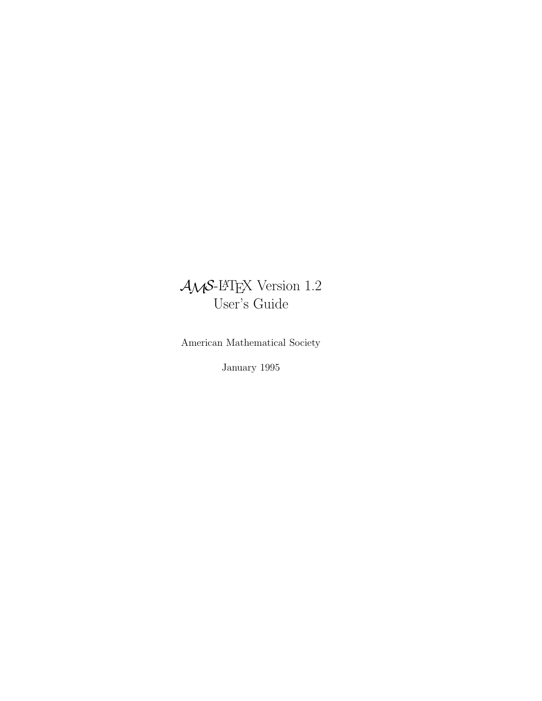# $\mathcal{A} \mathcal{M} \mathcal{S}\text{-}\mathbb{M}$  EX Version 1.2 User's Guide

American Mathematical Society

January 1995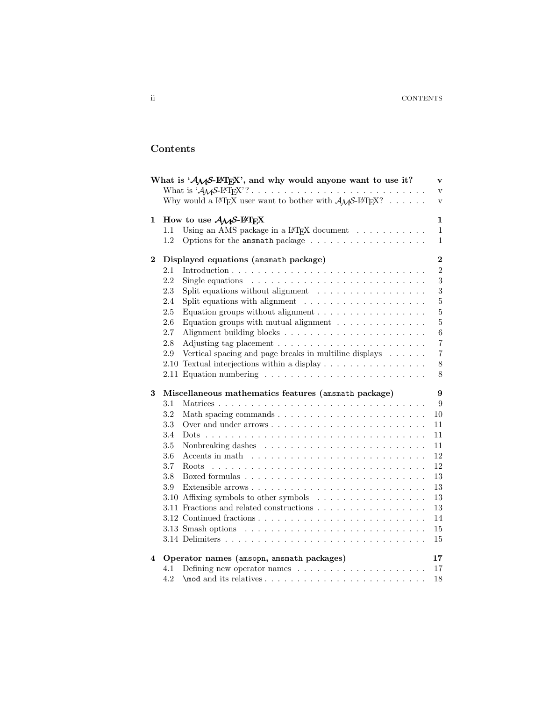# **Contents**

|          | What is ' $A_{\mathcal{M}}S$ -L <sup>A</sup> T <sub>E</sub> X', and why would anyone want to use it?                                | $\mathbf{v}$     |
|----------|-------------------------------------------------------------------------------------------------------------------------------------|------------------|
|          |                                                                                                                                     | $\mathbf{V}$     |
|          | Why would a L <sup>A</sup> T <sub>F</sub> X user want to bother with $\mathcal{A}_{\mathcal{M}}$ S-L <sup>A</sup> T <sub>F</sub> X? | $\rm{V}$         |
| 1        | How to use $A_{M}S$ -L <sup>AT</sup> EX                                                                                             | $\mathbf{1}$     |
|          | Using an AMS package in a $L^2F_X$ document<br>1.1                                                                                  | $\mathbf{1}$     |
|          | 1.2                                                                                                                                 | $\mathbf{1}$     |
| $\bf{2}$ | Displayed equations (amsmath package)                                                                                               | $\overline{2}$   |
|          | 2.1                                                                                                                                 | $\boldsymbol{2}$ |
|          | 2.2<br>Single equations $\ldots \ldots \ldots \ldots \ldots \ldots \ldots \ldots \ldots$                                            | 3                |
|          | 2.3<br>Split equations without alignment $\ldots \ldots \ldots \ldots \ldots$                                                       | $\overline{3}$   |
|          | Split equations with alignment $\ldots \ldots \ldots \ldots \ldots \ldots$<br>2.4                                                   | $\overline{5}$   |
|          | 2.5<br>Equation groups without alignment $\ldots \ldots \ldots \ldots \ldots$                                                       | $\overline{5}$   |
|          | Equation groups with mutual alignment $\dots \dots \dots \dots$<br>2.6                                                              | $\overline{5}$   |
|          | 2.7                                                                                                                                 | $\,6\,$          |
|          | $2.8\,$<br>Adjusting tag placement $\ldots \ldots \ldots \ldots \ldots \ldots \ldots$                                               | $\overline{7}$   |
|          | $2.9\,$<br>Vertical spacing and page breaks in multiline displays                                                                   | $\overline{7}$   |
|          | Textual interjections within a display<br>2.10                                                                                      | $8\,$            |
|          | 2.11 Equation numbering $\ldots \ldots \ldots \ldots \ldots \ldots \ldots \ldots$                                                   | 8                |
|          |                                                                                                                                     |                  |
|          |                                                                                                                                     |                  |
| 3        | Miscellaneous mathematics features (amsmath package)                                                                                | $9\phantom{.}$   |
|          | 3.1                                                                                                                                 | 9                |
|          | 3.2                                                                                                                                 | 10               |
|          | 3.3                                                                                                                                 | 11               |
|          | 3.4                                                                                                                                 | 11               |
|          | $3.5\,$                                                                                                                             | 11               |
|          | 3.6<br>Accents in math $\dots \dots \dots \dots \dots \dots \dots \dots \dots \dots \dots$                                          | 12               |
|          | 3.7                                                                                                                                 | 12               |
|          | 3.8                                                                                                                                 | 13               |
|          | 3.9                                                                                                                                 | 13               |
|          | 3.10 Affixing symbols to other symbols                                                                                              | 13               |
|          | 3.11 Fractions and related constructions                                                                                            | 13               |
|          |                                                                                                                                     | 14               |
|          | 3.13 Smash options $\ldots \ldots \ldots \ldots \ldots \ldots \ldots \ldots \ldots$                                                 | 15               |
|          |                                                                                                                                     | 15               |
| 4        | Operator names (amsopn, amsmath packages)                                                                                           | 17               |
|          | 4.1                                                                                                                                 | 17               |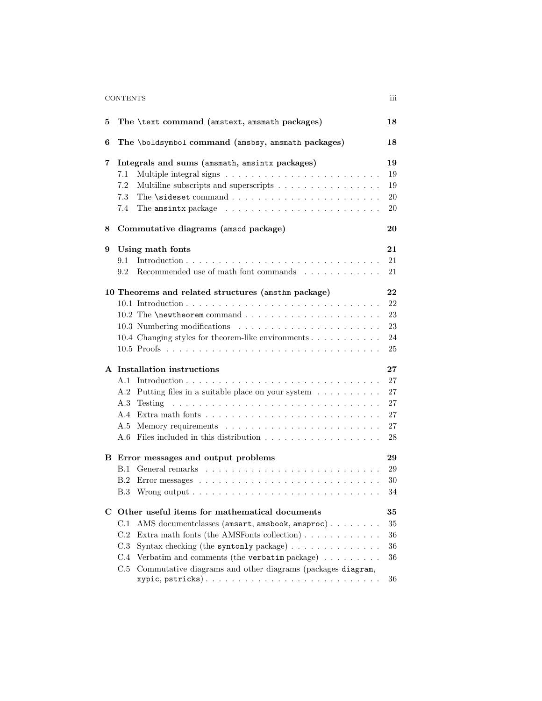# CONTENTS iii

| 5 | The \text command (amstext, amsmath packages)                                                                                                                                                                                                                                                                                                                                                                                  | 18                                       |
|---|--------------------------------------------------------------------------------------------------------------------------------------------------------------------------------------------------------------------------------------------------------------------------------------------------------------------------------------------------------------------------------------------------------------------------------|------------------------------------------|
| 6 | The \boldsymbol command (amsbsy, amsmath packages)                                                                                                                                                                                                                                                                                                                                                                             | 18                                       |
| 7 | Integrals and sums (amsmath, amsintx packages)<br>7.1<br>7.2<br>Multiline subscripts and superscripts<br>7.3<br>The amsintx package $\ldots \ldots \ldots \ldots \ldots \ldots \ldots \ldots$<br>7.4                                                                                                                                                                                                                           | 19<br>19<br>19<br>20<br>20               |
| 8 | Commutative diagrams (amscd package)                                                                                                                                                                                                                                                                                                                                                                                           | 20                                       |
| 9 | Using math fonts<br>9.1<br>Recommended use of math font commands $\ldots \ldots \ldots \ldots$<br>9.2                                                                                                                                                                                                                                                                                                                          | 21<br>21<br>21                           |
|   | 10 Theorems and related structures (amsthm package)<br>10.4 Changing styles for theorem-like environments                                                                                                                                                                                                                                                                                                                      | 22<br>22<br>23<br>23<br>24<br>25         |
|   | A Installation instructions<br>A.1<br>Putting files in a suitable place on your system<br>A.2<br>Testing<br>A.3<br>A.4<br>A.5<br>Files included in this distribution $\ldots \ldots \ldots \ldots \ldots \ldots$<br>A.6                                                                                                                                                                                                        | 27<br>27<br>27<br>27<br>27<br>27<br>28   |
|   | B Error messages and output problems<br>B.1<br>B.2<br>B.3                                                                                                                                                                                                                                                                                                                                                                      | 29<br>29<br>30<br>34                     |
|   | C Other useful items for mathematical documents<br>C.1<br>AMS document classes (amsart, amsbook, amsproc)<br>Extra math fonts (the AMSFonts collection) $\ldots \ldots \ldots \ldots$<br>C.2<br>Syntax checking (the syntonly package) $\ldots \ldots \ldots \ldots$<br>C.3<br>Verbatim and comments (the verbatim package) $\ldots \ldots \ldots$<br>C.4<br>Commutative diagrams and other diagrams (packages diagram,<br>C.5 | 35<br>35<br>$36\,$<br>$36\,$<br>36<br>36 |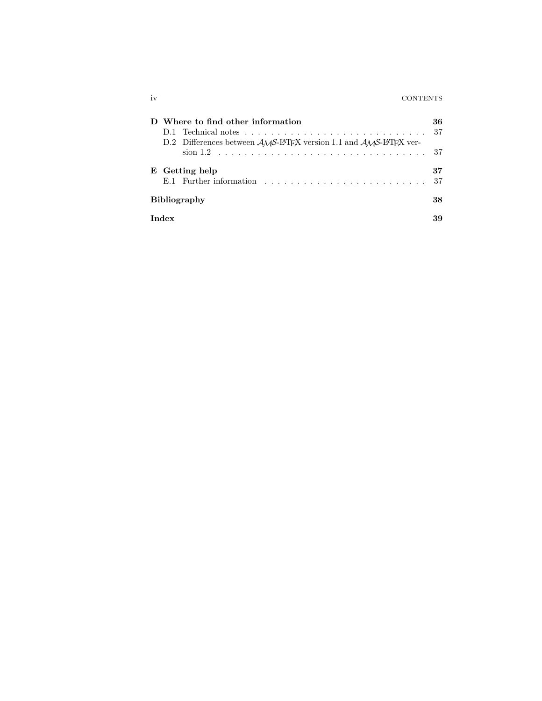| ıv | <b>CONTENTS</b> |
|----|-----------------|
|    |                 |

| Where to find other information<br>D.2 Differences between $A_{\mathcal{M}}S$ -L <sup>4</sup> T <sub>E</sub> X version 1.1 and $A_{\mathcal{M}}S$ -L <sup>4</sup> T <sub>F</sub> X ver- | 36       |
|-----------------------------------------------------------------------------------------------------------------------------------------------------------------------------------------|----------|
|                                                                                                                                                                                         |          |
| E Getting help                                                                                                                                                                          | 37<br>37 |
| <b>Bibliography</b>                                                                                                                                                                     | 38       |
| Index                                                                                                                                                                                   |          |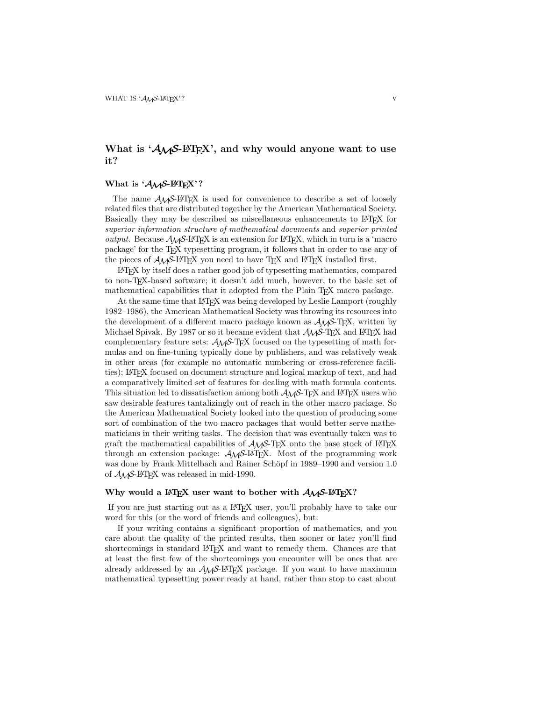# What is ' $A_M S$ <sup>-[ $\text{FTr}X$ ', and why would anyone want to use</sup> **it?**

### What is ' $A_{\mathcal{M}}S$ -L<sup>A</sup>T<sub>E</sub>X'?

The name  $A\mathcal{M}S$ -LAT<sub>F</sub>X is used for convenience to describe a set of loosely related files that are distributed together by the American Mathematical Society. Basically they may be described as miscellaneous enhancements to L<sup>AT</sup>EX for superior information structure of mathematical documents and superior printed *output.* Because  $\mathcal{A}_{\mathcal{M}}\mathcal{S}\text{-}L\mathcal{F}F\mathcal{X}$  is an extension for LAT<sub>EX</sub>, which in turn is a 'macro package' for the TEX typesetting program, it follows that in order to use any of the pieces of  $A_{\mathcal{M}}\mathcal{S}\text{-}L\text{-}T_{\mathcal{D}}\text{-}X$  you need to have T<sub>E</sub>X and L<sup>A</sup>T<sub>E</sub>X installed first.

LATEX by itself does a rather good job of typesetting mathematics, compared to non-TEX-based software; it doesn't add much, however, to the basic set of mathematical capabilities that it adopted from the Plain T<sub>E</sub>X macro package.

At the same time that LATEX was being developed by Leslie Lamport (roughly 1982–1986), the American Mathematical Society was throwing its resources into the development of a different macro package known as  $\mathcal{A}_{\mathcal{M}}$  -T<sub>E</sub>X, written by Michael Spivak. By 1987 or so it became evident that  $A_{\mathcal{M}}S$ -T<sub>F</sub>X and L<sup>A</sup>T<sub>F</sub>X had complementary feature sets:  $\mathcal{A}\mathcal{A}\mathcal{S}$ -TEX focused on the typesetting of math formulas and on fine-tuning typically done by publishers, and was relatively weak in other areas (for example no automatic numbering or cross-reference facilities); LATEX focused on document structure and logical markup of text, and had a comparatively limited set of features for dealing with math formula contents. This situation led to dissatisfaction among both  $A\mathcal{M}S$ -TEX and LATEX users who saw desirable features tantalizingly out of reach in the other macro package. So the American Mathematical Society looked into the question of producing some sort of combination of the two macro packages that would better serve mathematicians in their writing tasks. The decision that was eventually taken was to graft the mathematical capabilities of  $\mathcal{A}_{\mathcal{M}}$ S-TEX onto the base stock of LATEX through an extension package:  $A_{\mathcal{M}}S$ -L<sup>AT</sup>EX. Most of the programming work was done by Frank Mittelbach and Rainer Schöpf in 1989–1990 and version 1.0 of  $A_MS$ -LAT<sub>F</sub>X was released in mid-1990.

### Why would a  $\text{LATEX}$  user want to bother with  $\mathcal{A}_{\mathcal{M}}\mathcal{S}\text{-LATEX}$ ?

If you are just starting out as a LATEX user, you'll probably have to take our word for this (or the word of friends and colleagues), but:

If your writing contains a significant proportion of mathematics, and you care about the quality of the printed results, then sooner or later you'll find shortcomings in standard LAT<sub>EX</sub> and want to remedy them. Chances are that at least the first few of the shortcomings you encounter will be ones that are already addressed by an  $A_{\mathcal{M}}S$ -L<sup>AT</sup>EX package. If you want to have maximum mathematical typesetting power ready at hand, rather than stop to cast about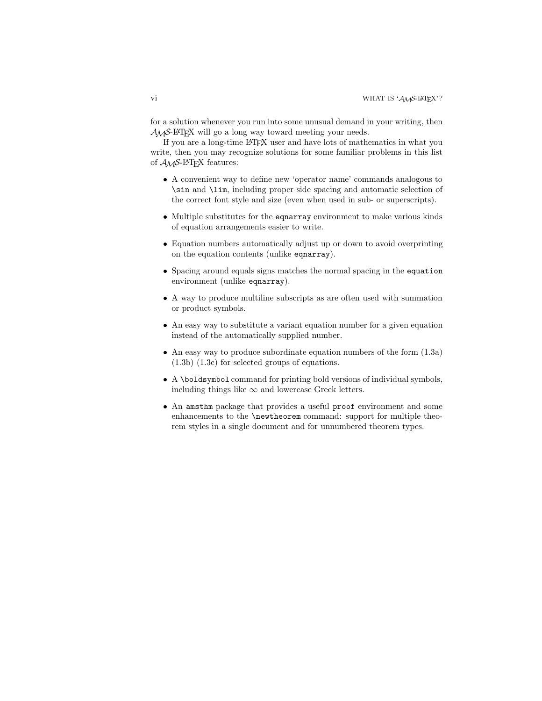### vi WHAT IS 'AMS-LATEX'?

for a solution whenever you run into some unusual demand in your writing, then  $A_{\mathcal{M}}S$ -LAT<sub>E</sub>X will go a long way toward meeting your needs.

If you are a long-time LATEX user and have lots of mathematics in what you write, then you may recognize solutions for some familiar problems in this list of  $\mathcal{A}_{\mathcal{M}}$ S-L<sup>A</sup>T<sub>F</sub>X features:

- A convenient way to define new 'operator name' commands analogous to \sin and \lim, including proper side spacing and automatic selection of the correct font style and size (even when used in sub- or superscripts).
- Multiple substitutes for the equarray environment to make various kinds of equation arrangements easier to write.
- Equation numbers automatically adjust up or down to avoid overprinting on the equation contents (unlike eqnarray).
- Spacing around equals signs matches the normal spacing in the equation environment (unlike eqnarray).
- A way to produce multiline subscripts as are often used with summation or product symbols.
- An easy way to substitute a variant equation number for a given equation instead of the automatically supplied number.
- An easy way to produce subordinate equation numbers of the form (1.3a) (1.3b) (1.3c) for selected groups of equations.
- A \boldsymbol command for printing bold versions of individual symbols, including things like  $\infty$  and lowercase Greek letters.
- An amsthm package that provides a useful proof environment and some enhancements to the \newtheorem command: support for multiple theorem styles in a single document and for unnumbered theorem types.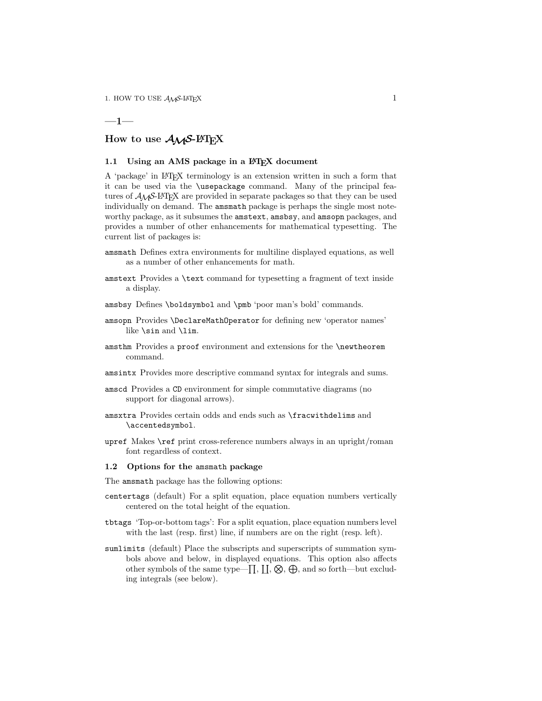### **—1—**

# How to use  $A_{\mathcal{M}}S$ -L<sup>A</sup>T<sub>E</sub>X

### 1.1 Using an AMS package in a L<sup>A</sup>T<sub>E</sub>X document

A 'package' in LATEX terminology is an extension written in such a form that it can be used via the \usepackage command. Many of the principal features of  $A_{\mathcal{M}}\mathcal{S}\text{-BTrX}$  are provided in separate packages so that they can be used individually on demand. The amsmath package is perhaps the single most noteworthy package, as it subsumes the amstext, amsbsy, and amsopn packages, and provides a number of other enhancements for mathematical typesetting. The current list of packages is:

- amsmath Defines extra environments for multiline displayed equations, as well as a number of other enhancements for math.
- amstext Provides a \text command for typesetting a fragment of text inside a display.
- amsbsy Defines \boldsymbol and \pmb 'poor man's bold' commands.
- amsopn Provides \DeclareMathOperator for defining new 'operator names' like \sin and \lim.
- amsthm Provides a proof environment and extensions for the \newtheorem command.
- amsintx Provides more descriptive command syntax for integrals and sums.
- amscd Provides a CD environment for simple commutative diagrams (no support for diagonal arrows).
- amsxtra Provides certain odds and ends such as \fracwithdelims and \accentedsymbol.
- upref Makes \ref print cross-reference numbers always in an upright/roman font regardless of context.

#### **1.2 Options for the** amsmath **package**

The amsmath package has the following options:

- centertags (default) For a split equation, place equation numbers vertically centered on the total height of the equation.
- tbtags 'Top-or-bottom tags': For a split equation, place equation numbers level with the last (resp. first) line, if numbers are on the right (resp. left).
- sumlimits (default) Place the subscripts and superscripts of summation symbols above and below, in displayed equations. This option also affects other symbols of the same type— $\prod, \prod, \bigotimes, \bigoplus$ , and so forth—but excluding integrals (see below).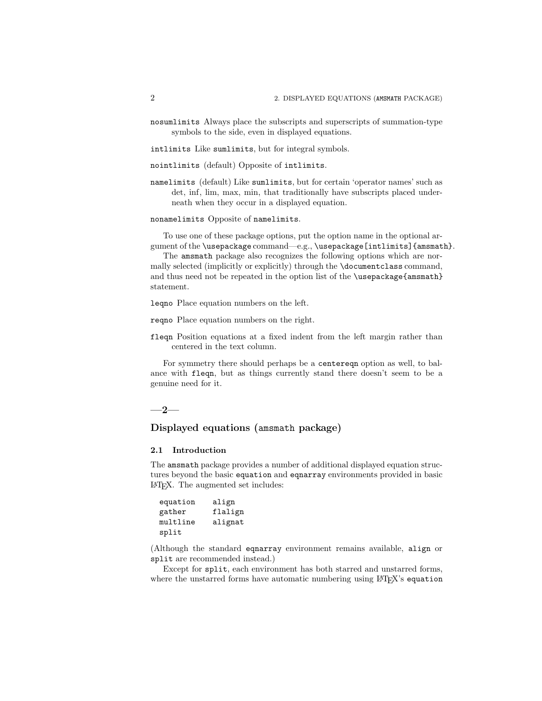nosumlimits Always place the subscripts and superscripts of summation-type symbols to the side, even in displayed equations.

intlimits Like sumlimits, but for integral symbols.

nointlimits (default) Opposite of intlimits.

namelimits (default) Like sumlimits, but for certain 'operator names' such as det, inf, lim, max, min, that traditionally have subscripts placed underneath when they occur in a displayed equation.

nonamelimits Opposite of namelimits.

To use one of these package options, put the option name in the optional argument of the \usepackage command—e.g., \usepackage[intlimits]{amsmath}.

The amsmath package also recognizes the following options which are normally selected (implicitly or explicitly) through the \documentclass command, and thus need not be repeated in the option list of the \usepackage{amsmath} statement.

leqno Place equation numbers on the left.

- reqno Place equation numbers on the right.
- fleqn Position equations at a fixed indent from the left margin rather than centered in the text column.

For symmetry there should perhaps be a centereqn option as well, to balance with fleqn, but as things currently stand there doesn't seem to be a genuine need for it.

**—2—**

# **Displayed equations (**amsmath **package)**

#### **2.1 Introduction**

The amsmath package provides a number of additional displayed equation structures beyond the basic equation and eqnarray environments provided in basic LATEX. The augmented set includes:

| equation | align   |
|----------|---------|
| gather   | flalign |
| multline | alignat |
| split    |         |

(Although the standard eqnarray environment remains available, align or split are recommended instead.)

Except for split, each environment has both starred and unstarred forms, where the unstarred forms have automatic numbering using LATFX's equation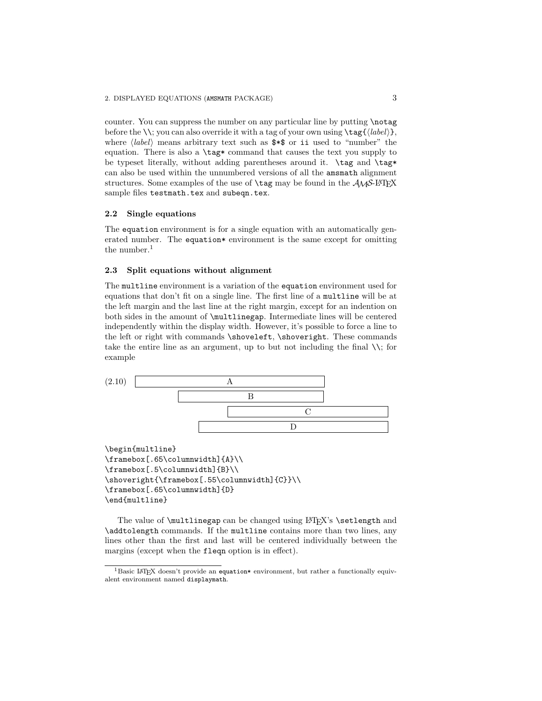counter. You can suppress the number on any particular line by putting \notag before the  $\setminus\$ ; you can also override it with a tag of your own using  $\text{tag}\{\text{label}\}$ , where  $\langle label \rangle$  means arbitrary text such as  $**\$  or ii used to "number" the equation. There is also a  $\tag{10} \tag{20} \text{equation}$ . be typeset literally, without adding parentheses around it. \tag and \tag\* can also be used within the unnumbered versions of all the amsmath alignment structures. Some examples of the use of  $\tag{5.14}$  the  $A_{\mathcal{M}}$ S-LAT<sub>EX</sub> sample files testmath.tex and subeqn.tex.

### **2.2 Single equations**

The equation environment is for a single equation with an automatically generated number. The equation\* environment is the same except for omitting the number. $<sup>1</sup>$ </sup>

### **2.3 Split equations without alignment**

The multline environment is a variation of the equation environment used for equations that don't fit on a single line. The first line of a multline will be at the left margin and the last line at the right margin, except for an indention on both sides in the amount of \multlinegap. Intermediate lines will be centered independently within the display width. However, it's possible to force a line to the left or right with commands \shoveleft, \shoveright. These commands take the entire line as an argument, up to but not including the final  $\setminus$ ; for example



\begin{multline} \framebox[.65\columnwidth]{A}\\ \framebox[.5\columnwidth]{B}\\ \shoveright{\framebox[.55\columnwidth]{C}}\\ \framebox[.65\columnwidth]{D} \end{multline}

The value of **\multlinegap** can be changed using LATEX's **\setlength** and \addtolength commands. If the multline contains more than two lines, any lines other than the first and last will be centered individually between the margins (except when the fleqn option is in effect).

<sup>&</sup>lt;sup>1</sup>Basic LAT<sub>EX</sub> doesn't provide an equation\* environment, but rather a functionally equivalent environment named displaymath.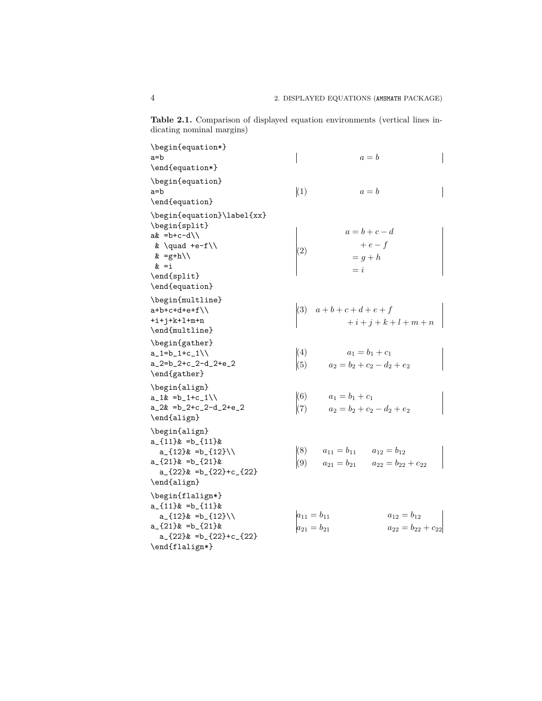**Table 2.1.** Comparison of displayed equation environments (vertical lines indicating nominal margins)

| $\begin{min}\$                                                                                |                   |                                     |                                              |  |
|-----------------------------------------------------------------------------------------------|-------------------|-------------------------------------|----------------------------------------------|--|
| a=b                                                                                           |                   |                                     | $a = b$                                      |  |
| \end{equation*}                                                                               |                   |                                     |                                              |  |
| \begin{equation}                                                                              |                   |                                     |                                              |  |
| a=b                                                                                           | (1)               |                                     | $a = b$                                      |  |
| \end{equation}                                                                                |                   |                                     |                                              |  |
| \begin{equation}\label{xx}<br>\begin{split}<br>$ak = b + c - d$<br>& $\quad +e-f$<br>& =g+h\\ | (2)               | $= g + h$                           | $a=b+c-d$<br>$+e-f$                          |  |
| $\&$ =i                                                                                       |                   | $= i$                               |                                              |  |
| \end{split}<br>\end{equation}                                                                 |                   |                                     |                                              |  |
| \begin{multline}<br>$a+b+c+d+e+f \backslash$<br>$+i+j+k+1+m+n$<br>\end{multline}              |                   |                                     | (3) $a+b+c+d+e+f$<br>+i+j+k+l+m+n            |  |
| \begin{gather}                                                                                |                   |                                     |                                              |  |
| $a_1=b_1+c_1\$                                                                                | (4)               | $a_1 = b_1 + c_1$                   |                                              |  |
| $a_{2}=b_{2}+c_{2}-d_{2}+e_{2}$                                                               | (5)               | $a_2 = b_2 + c_2 - d_2 + e_2$       |                                              |  |
| \end{gather}                                                                                  |                   |                                     |                                              |  |
| \begin{align}<br>$a_1\& =b_1+c_1\&$                                                           | (6)               | $a_1 = b_1 + c_1$                   |                                              |  |
| $a_2x = b_2+c_2-d_2+e_2$                                                                      | (7)               |                                     | $a_2 = b_2 + c_2 - d_2 + e_2$                |  |
| \end{align}                                                                                   |                   |                                     |                                              |  |
| \begin{align}<br>$a_{11}$ $x = b_{11}$                                                        | (8)               | $a_{11} = b_{11}$ $a_{12} = b_{12}$ |                                              |  |
| $a_{12}$ =b_{12}\\                                                                            |                   |                                     |                                              |  |
| $a_{21}$ =b_{21} &<br>$a_{22}$ =b_{22}+c_{22}}                                                | (9)               |                                     | $a_{21} = b_{21}$ $a_{22} = b_{22} + c_{22}$ |  |
|                                                                                               |                   |                                     |                                              |  |
| \end{align}                                                                                   |                   |                                     |                                              |  |
| \begin{flalign*}<br>$a_{11}$ $x = b_{11}$<br>$a_{12}$ =b_{12}\\                               | $a_{11} = b_{11}$ |                                     | $a_{12}=b_{12}$                              |  |
| $a_{121}$ =b <sub>(21</sub> } &                                                               |                   |                                     |                                              |  |
| $a_{22}$ =b_{22}+c_{22}}                                                                      | $a_{21}=b_{21}$   |                                     | $a_{22} = b_{22} + c_{22}$                   |  |
| \end{flalign*}                                                                                |                   |                                     |                                              |  |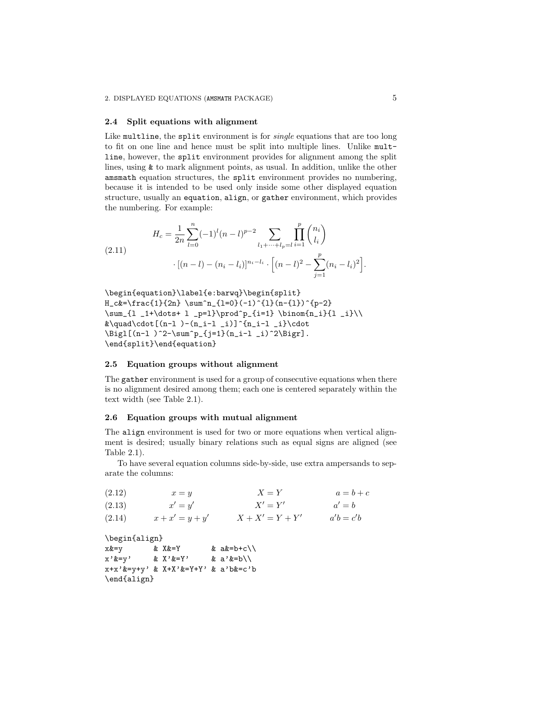#### **2.4 Split equations with alignment**

Like multline, the split environment is for single equations that are too long to fit on one line and hence must be split into multiple lines. Unlike multline, however, the split environment provides for alignment among the split lines, using & to mark alignment points, as usual. In addition, unlike the other amsmath equation structures, the split environment provides no numbering, because it is intended to be used only inside some other displayed equation structure, usually an equation, align, or gather environment, which provides the numbering. For example:

(2.11) 
$$
H_c = \frac{1}{2n} \sum_{l=0}^n (-1)^l (n-l)^{p-2} \sum_{l_1 + \dots + l_p = l} \prod_{i=1}^p \binom{n_i}{l_i}
$$

$$
\cdot [(n-l) - (n_i - l_i)]^{n_i - l_i} \cdot \left[ (n-l)^2 - \sum_{j=1}^p (n_i - l_i)^2 \right].
$$

\begin{equation}\label{e:barwq}\begin{split}  $H_c&=\frac{1}{2n} \sum^n_{l=0}(-1)^{l}n-{1}^p-2}$ \sum\_{l \_1+\dots+ l \_p=l}\prod^p\_{i=1} \binom{n\_i}{l \_i}\\  $\&\quad\cdot[(n-1)-(n_i-1-i)]^{n_i-1-i}\cdot\cdot\cdot$  $\bigcup_{n-1}^2-\sum^p_{j=1}(n_i-1_i)^2\Big].$ \end{split}\end{equation}

#### **2.5 Equation groups without alignment**

The gather environment is used for a group of consecutive equations when there is no alignment desired among them; each one is centered separately within the text width (see Table 2.1).

#### **2.6 Equation groups with mutual alignment**

The align environment is used for two or more equations when vertical alignment is desired; usually binary relations such as equal signs are aligned (see Table 2.1).

To have several equation columns side-by-side, use extra ampersands to separate the columns:

| (2.12)        | $x = y$           | $X = Y$           | $a=b+c$     |
|---------------|-------------------|-------------------|-------------|
| (2.13)        | $x'=u'$           | $X' = Y'$         | $a'=b$      |
| (2.14)        | $x + x' = y + y'$ | $X + X' = Y + Y'$ | $a'b = c'b$ |
| \begin{align} |                   |                   |             |

 $x&=y$  &  $X&=Y$  &  $ak=b+c\backslash\backslash$  $x'&=y'$  &  $X'&=Y'$  &  $a'&=b\}$ x+x'&=y+y' & X+X'&=Y+Y' & a'b&=c'b \end{align}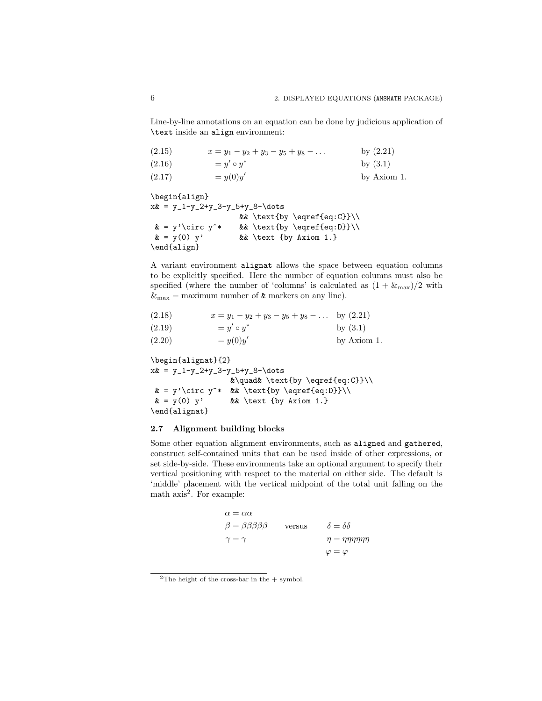Line-by-line annotations on an equation can be done by judicious application of \text inside an align environment:

| (2.15) | $x = y_1 - y_2 + y_3 - y_5 + y_8 - \ldots$ | by $(2.21)$ |
|--------|--------------------------------------------|-------------|
| (2.16) | $= u' \circ u^*$                           | by $(3.1)$  |
| (2.17) | $= y(0)y'$                                 | by Axiom 1. |

\begin{align}  $x& = y_1-y_2+y_3-y_5+y_8-\dots$ && \text{by \eqref{eq:C}}\\  $& = y' \circ y^*$  && \text{by \eqref{eq:D}}\\  $\& = y(0) y'$  && \text {by Axiom 1.} \end{align}

A variant environment alignat allows the space between equation columns to be explicitly specified. Here the number of equation columns must also be specified (where the number of 'columns' is calculated as  $(1 + \&_{\text{max}})/2$  with  $\&$ <sub>max</sub> = maximum number of  $\&$  markers on any line).

| $x = y_1 - y_2 + y_3 - y_5 + y_8 - \dots$ by $(2.21)$ |
|-------------------------------------------------------|

| (2.19) | $y' \circ y^*$ | by $(3.1)$  |
|--------|----------------|-------------|
| (2.20) | $= y(0)y'$     | by Axiom 1. |

\begin{alignat}{2}  $x& = y_1 - y_2 + y_3 - y_5 + y_8 - \dots$ &\quad& \text{by \eqref{eq:C}}\\  $& = y' \circ y^*$  && \text{by \eqref{eq:D}}\\  $\& = y(0)$  y'  $\&&$  \text {by Axiom 1.} \end{alignat}

### **2.7 Alignment building blocks**

Some other equation alignment environments, such as aligned and gathered, construct self-contained units that can be used inside of other expressions, or set side-by-side. These environments take an optional argument to specify their vertical positioning with respect to the material on either side. The default is 'middle' placement with the vertical midpoint of the total unit falling on the math axis<sup>2</sup>. For example:

| $\alpha = \alpha \alpha$                |        |                                   |
|-----------------------------------------|--------|-----------------------------------|
| $\beta = \beta \beta \beta \beta \beta$ | versus | $\delta = \delta \delta$          |
| $\gamma = \gamma$                       |        | $\eta = \eta \eta \eta \eta \eta$ |
|                                         |        | $\varphi=\varphi$                 |

<sup>&</sup>lt;sup>2</sup>The height of the cross-bar in the  $+$  symbol.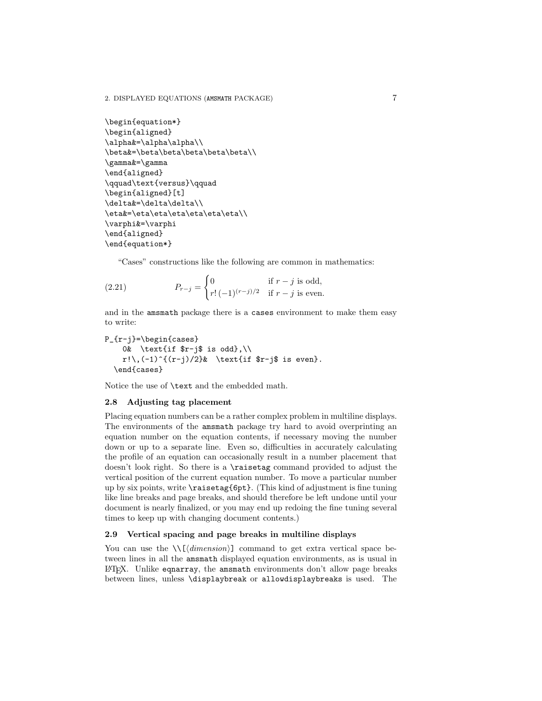2. DISPLAYED EQUATIONS (AMSMATH PACKAGE) 7

```
\begin{equation*}
\begin{aligned}
\alpha&=\alpha\alpha\\
\beta&=\beta\beta\beta\beta\beta\\
\gamma&=\gamma
\end{aligned}
\qquad\text{versus}\qquad
\begin{aligned}[t]
\delta&=\delta\delta\\
\eta&=\eta\eta\eta\eta\eta\eta\\
\varphi&=\varphi
\end{aligned}
\end{equation*}
```
"Cases" constructions like the following are common in mathematics:

(2.21) 
$$
P_{r-j} = \begin{cases} 0 & \text{if } r-j \text{ is odd,} \\ r! \, (-1)^{(r-j)/2} & \text{if } r-j \text{ is even.} \end{cases}
$$

and in the amsmath package there is a cases environment to make them easy to write:

```
P_{r-j}=\begin{cases}
    0& \text{if $r-j$ is odd},\\
    r!\\,(-1)^{(r-j)/2}& \text{if $r-j$ is even}.
  \end{cases}
```
Notice the use of \text and the embedded math.

### **2.8 Adjusting tag placement**

Placing equation numbers can be a rather complex problem in multiline displays. The environments of the amsmath package try hard to avoid overprinting an equation number on the equation contents, if necessary moving the number down or up to a separate line. Even so, difficulties in accurately calculating the profile of an equation can occasionally result in a number placement that doesn't look right. So there is a \raisetag command provided to adjust the vertical position of the current equation number. To move a particular number up by six points, write \raisetag{6pt}. (This kind of adjustment is fine tuning like line breaks and page breaks, and should therefore be left undone until your document is nearly finalized, or you may end up redoing the fine tuning several times to keep up with changing document contents.)

### **2.9 Vertical spacing and page breaks in multiline displays**

You can use the  $\{\langle\hat{dimension}\rangle\}$  command to get extra vertical space between lines in all the amsmath displayed equation environments, as is usual in LATEX. Unlike eqnarray, the amsmath environments don't allow page breaks between lines, unless \displaybreak or allowdisplaybreaks is used. The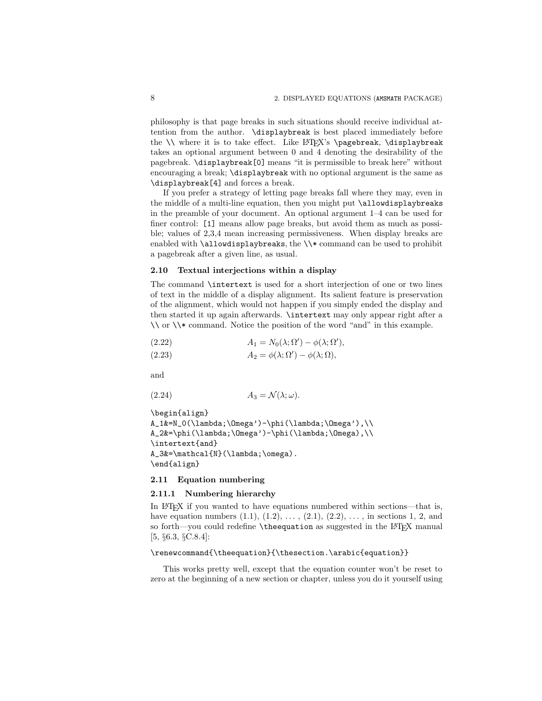philosophy is that page breaks in such situations should receive individual attention from the author. \displaybreak is best placed immediately before the  $\iota$  where it is to take effect. Like  $\operatorname{ETr}X$ 's  $\text{pagebreak} \cdot \text{display}$ takes an optional argument between 0 and 4 denoting the desirability of the pagebreak. \displaybreak[0] means "it is permissible to break here" without encouraging a break; \displaybreak with no optional argument is the same as \displaybreak[4] and forces a break.

If you prefer a strategy of letting page breaks fall where they may, even in the middle of a multi-line equation, then you might put \allowdisplaybreaks in the preamble of your document. An optional argument 1–4 can be used for finer control: [1] means allow page breaks, but avoid them as much as possible; values of 2,3,4 mean increasing permissiveness. When display breaks are enabled with \allowdisplaybreaks, the \\\* command can be used to prohibit a pagebreak after a given line, as usual.

#### **2.10 Textual interjections within a display**

The command \intertext is used for a short interjection of one or two lines of text in the middle of a display alignment. Its salient feature is preservation of the alignment, which would not happen if you simply ended the display and then started it up again afterwards. \intertext may only appear right after a  $\setminus \$  or  $\setminus \ast$  command. Notice the position of the word "and" in this example.

(2.22) 
$$
A_1 = N_0(\lambda; \Omega') - \phi(\lambda; \Omega'),
$$

(2.23) 
$$
A_2 = \phi(\lambda; \Omega') - \phi(\lambda; \Omega),
$$

and

$$
(2.24) \t\t A_3 = \mathcal{N}(\lambda; \omega).
$$

```
\begin{align}
A_1&=N_0(\lambda;\Omega')-\phi(\lambda;\Omega'),\\
A_2&=\phi(\lambda;\Omega')-\phi(\lambda;\Omega),\\
\intertext{and}
A_3&=\mathcal{N}(\lambda;\omega).
\end{align}
```
#### **2.11 Equation numbering**

#### **2.11.1 Numbering hierarchy**

In LATEX if you wanted to have equations numbered within sections—that is, have equation numbers  $(1.1), (1.2), \ldots, (2.1), (2.2), \ldots$ , in sections 1, 2, and so forth—you could redefine \theequation as suggested in the LATEX manual [5, §6.3, §C.8.4]:

### \renewcommand{\theequation}{\thesection.\arabic{equation}}

This works pretty well, except that the equation counter won't be reset to zero at the beginning of a new section or chapter, unless you do it yourself using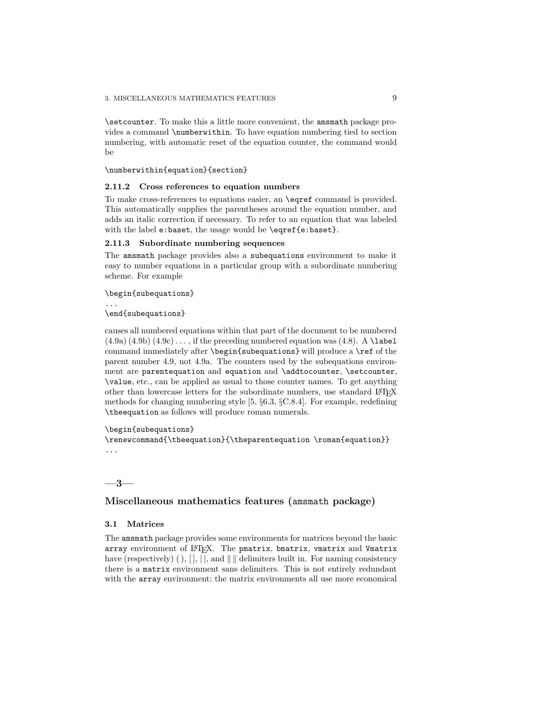\setcounter. To make this a little more convenient, the amsmath package provides a command \numberwithin. To have equation numbering tied to section numbering, with automatic reset of the equation counter, the command would be

\numberwithin{equation}{section}

#### **2.11.2 Cross references to equation numbers**

To make cross-references to equations easier, an \eqref command is provided. This automatically supplies the parentheses around the equation number, and adds an italic correction if necessary. To refer to an equation that was labeled with the label e:baset, the usage would be \eqref{e:baset}.

### **2.11.3 Subordinate numbering sequences**

The amsmath package provides also a subequations environment to make it easy to number equations in a particular group with a subordinate numbering scheme. For example

\begin{subequations}

\end{subequations}

...

causes all numbered equations within that part of the document to be numbered  $(4.9a)$   $(4.9b)$   $(4.9c)$ ..., if the preceding numbered equation was  $(4.8)$ . A \label command immediately after \begin{subequations} will produce a \ref of the parent number 4.9, not 4.9a. The counters used by the subequations environment are parentequation and equation and \addtocounter, \setcounter, \value, etc., can be applied as usual to those counter names. To get anything other than lowercase letters for the subordinate numbers, use standard LATEX methods for changing numbering style [5, §6.3, §C.8.4]. For example, redefining \theequation as follows will produce roman numerals.

\begin{subequations}

\renewcommand{\theequation}{\theparentequation \roman{equation}} ...

### **—3—**

### **Miscellaneous mathematics features (**amsmath **package)**

### **3.1 Matrices**

The amsmath package provides some environments for matrices beyond the basic array environment of LATEX. The pmatrix, bmatrix, vmatrix and Vmatrix have (respectively) ( ),  $[ \cdot, \cdot ]$ , and  $\parallel \parallel$  delimiters built in. For naming consistency there is a matrix environment sans delimiters. This is not entirely redundant with the array environment; the matrix environments all use more economical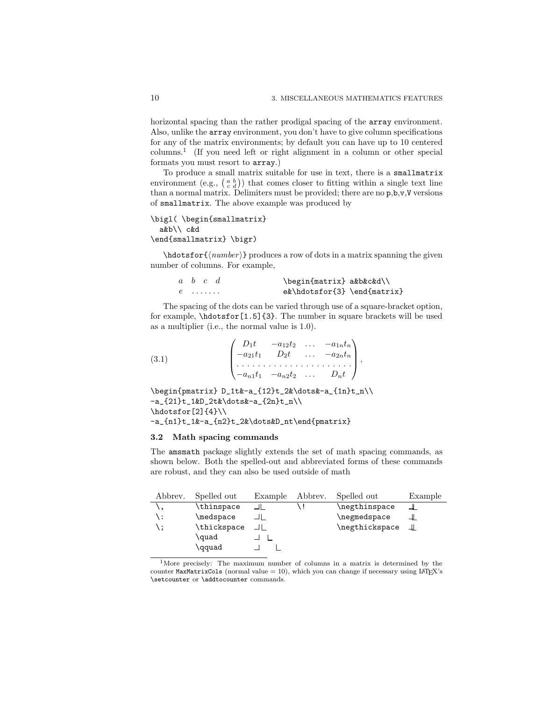horizontal spacing than the rather prodigal spacing of the array environment. Also, unlike the array environment, you don't have to give column specifications for any of the matrix environments; by default you can have up to 10 centered columns.<sup>1</sup> (If you need left or right alignment in a column or other special formats you must resort to array.)

To produce a small matrix suitable for use in text, there is a smallmatrix environment (e.g.,  $\begin{pmatrix} a & b \\ c & d \end{pmatrix}$ ) that comes closer to fitting within a single text line than a normal matrix. Delimiters must be provided; there are no p,b,v,V versions of smallmatrix. The above example was produced by

```
\bigl( \begin{smallmatrix}
  a&b\\ c&d
\end{smallmatrix} \bigr)
```
 $\hbar$ dotsfor $\{ \langle number \rangle \}$  produces a row of dots in a matrix spanning the given number of columns. For example,

| $a \quad b \quad c \quad d$ | \begin{matrix} a&b&c&d\\     |
|-----------------------------|------------------------------|
| $e$                         | $ek\hotsfor{3} \end{matrix}$ |

The spacing of the dots can be varied through use of a square-bracket option, for example, \hdotsfor[1.5]{3}. The number in square brackets will be used as a multiplier (i.e., the normal value is 1.0).

(3.1) 
$$
\begin{pmatrix} D_1t & -a_{12}t_2 & \dots & -a_{1n}t_n \\ -a_{21}t_1 & D_2t & \dots & -a_{2n}t_n \\ \dots & \dots & \dots & \dots & \dots \\ -a_{n1}t_1 & -a_{n2}t_2 & \dots & D_nt \end{pmatrix},
$$

\begin{pmatrix} D\_1t&-a\_{12}t\_2&\dots&-a\_{1n}t\_n\\  $-a_{21}t_{1k}D_{2t}dots&-a_{2n}t_{n}$  $\hbox{hdots}$ for[2]{4}\\ -a\_{n1}t\_1&-a\_{n2}t\_2&\dots&D\_nt\end{pmatrix}

#### **3.2 Math spacing commands**

The amsmath package slightly extends the set of math spacing commands, as shown below. Both the spelled-out and abbreviated forms of these commands are robust, and they can also be used outside of math

| Abbrev. | Spelled out | Example | Abbrev. | Spelled out    | Example |
|---------|-------------|---------|---------|----------------|---------|
|         | \thinspace  |         |         | \negthinspace  |         |
| \ :     | \medspace   |         |         | \negmedspace   |         |
|         | \thickspace |         |         | \negthickspace | Ш       |
|         | \quad       |         |         |                |         |
|         | \qquad      |         |         |                |         |

<sup>1</sup>More precisely: The maximum number of columns in a matrix is determined by the counter MaxMatrixCols (normal value  $= 10$ ), which you can change if necessary using  $\text{Lipx's}$ \setcounter or \addtocounter commands.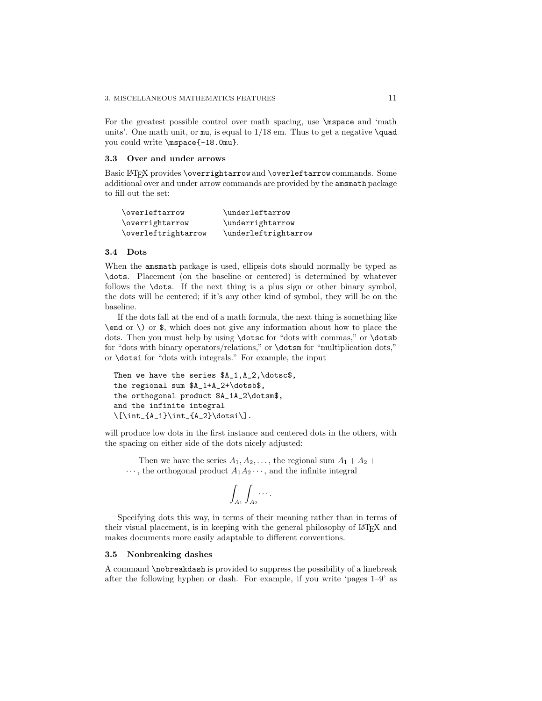For the greatest possible control over math spacing, use **\mspace** and 'math units'. One math unit, or mu, is equal to  $1/18$  em. Thus to get a negative  $\qquad$ you could write \mspace{-18.0mu}.

#### **3.3 Over and under arrows**

Basic LATEX provides \overrightarrow and \overleftarrow commands. Some additional over and under arrow commands are provided by the amsmath package to fill out the set:

| \overleftarrow      | \underleftarrow      |
|---------------------|----------------------|
| \overrightarrow     | \underrightarrow     |
| \overleftrightarrow | \underleftrightarrow |

### **3.4 Dots**

When the amsmath package is used, ellipsis dots should normally be typed as \dots. Placement (on the baseline or centered) is determined by whatever follows the \dots. If the next thing is a plus sign or other binary symbol, the dots will be centered; if it's any other kind of symbol, they will be on the baseline.

If the dots fall at the end of a math formula, the next thing is something like \end or \) or \$, which does not give any information about how to place the dots. Then you must help by using \dotsc for "dots with commas," or \dotsb for "dots with binary operators/relations," or \dotsm for "multiplication dots," or \dotsi for "dots with integrals." For example, the input

```
Then we have the series $A_1,A_2,\dotsc$,
the regional sum $A_1+A_2+\dotsb$,
the orthogonal product $A_1A_2\dotsm$,
and the infinite integral
\[\int_{A_1}\int_{A_2}\dot{s}\].
```
will produce low dots in the first instance and centered dots in the others, with the spacing on either side of the dots nicely adjusted:

Then we have the series  $A_1, A_2, \ldots$ , the regional sum  $A_1 + A_2 +$  $\cdots$ , the orthogonal product  $A_1A_2\cdots$ , and the infinite integral

$$
\int_{A_1}\int_{A_2}\cdots
$$

Specifying dots this way, in terms of their meaning rather than in terms of their visual placement, is in keeping with the general philosophy of LATEX and makes documents more easily adaptable to different conventions.

### **3.5 Nonbreaking dashes**

A command \nobreakdash is provided to suppress the possibility of a linebreak after the following hyphen or dash. For example, if you write 'pages 1–9' as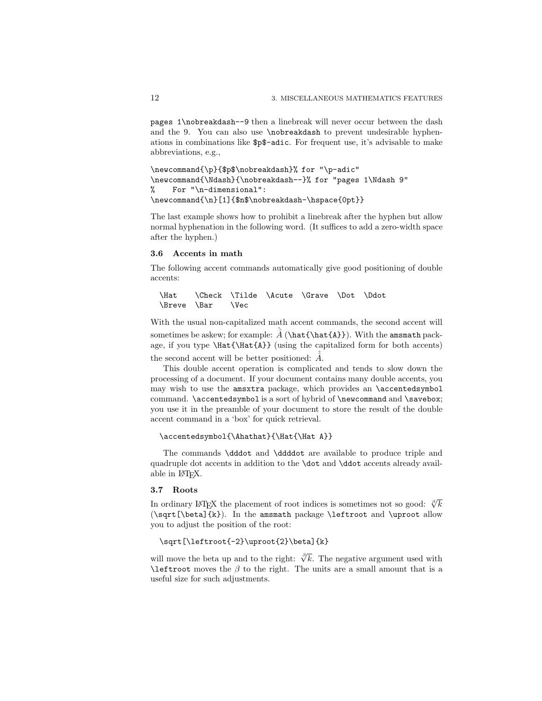pages 1\nobreakdash--9 then a linebreak will never occur between the dash and the 9. You can also use \nobreakdash to prevent undesirable hyphenations in combinations like \$p\$-adic. For frequent use, it's advisable to make abbreviations, e.g.,

```
\newcommand{\p}{$p$\nobreakdash}% for "\p-adic"
\newcommand{\Ndash}{\nobreakdash--}% for "pages 1\Ndash 9"
% For "\n-dimensional":
\newcommand{\n}[1]{$n$\nobreakdash-\hspace{0pt}}
```
The last example shows how to prohibit a linebreak after the hyphen but allow normal hyphenation in the following word. (It suffices to add a zero-width space after the hyphen.)

#### **3.6 Accents in math**

The following accent commands automatically give good positioning of double accents:

```
\Hat \Check \Tilde \Acute \Grave \Dot \Ddot
\Breve \Bar \Vec
```
With the usual non-capitalized math accent commands, the second accent will sometimes be askew; for example:  $\hat{A}(\hat{A})$ ). With the amsmath package, if you type \Hat{\Hat{A}} (using the capitalized form for both accents) the second accent will be better positioned:  $\hat{\hat{A}}$ .

This double accent operation is complicated and tends to slow down the processing of a document. If your document contains many double accents, you may wish to use the amsxtra package, which provides an \accentedsymbol command. \accentedsymbol is a sort of hybrid of \newcommand and \savebox; you use it in the preamble of your document to store the result of the double accent command in a 'box' for quick retrieval.

```
\accentedsymbol{\Ahathat}{\Hat{\Hat A}}
```
The commands \dddot and \ddddot are available to produce triple and quadruple dot accents in addition to the \dot and \ddot accents already available in LATEX.

### **3.7 Roots**

In ordinary LATEX the placement of root indices is sometimes not so good:  $\sqrt[6]{k}$ (\sqrt[\beta]{k}). In the amsmath package \leftroot and \uproot allow you to adjust the position of the root:

### \sqrt[\leftroot{-2}\uproot{2}\beta]{k}

will move the beta up and to the right:  $\sqrt[\beta]{k}$ . The negative argument used with  $\left( \Delta x \right)$  are a small amount that is a useful size for such adjustments.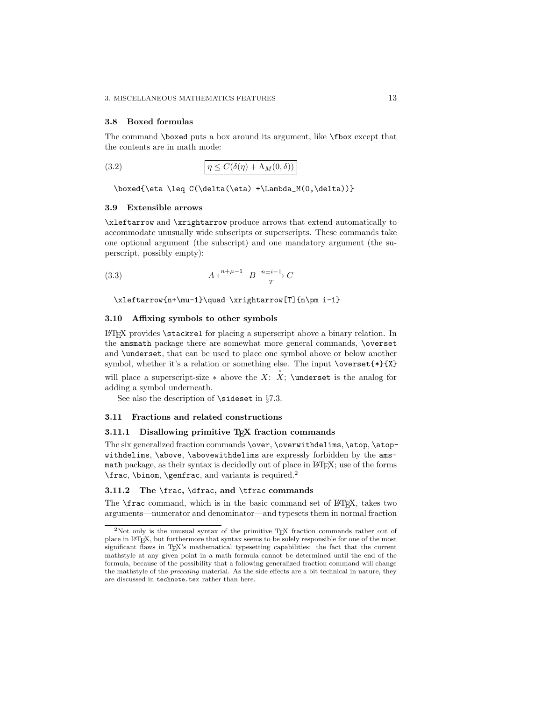### **3.8 Boxed formulas**

The command \boxed puts a box around its argument, like \fbox except that the contents are in math mode:

(3.2) 
$$
\eta \le C(\delta(\eta) + \Lambda_M(0,\delta))
$$

\boxed{\eta \leq C(\delta(\eta) +\Lambda\_M(0,\delta))}

### **3.9 Extensible arrows**

\xleftarrow and \xrightarrow produce arrows that extend automatically to accommodate unusually wide subscripts or superscripts. These commands take one optional argument (the subscript) and one mandatory argument (the superscript, possibly empty):

$$
(3.3) \t\t A \xleftarrow{n+\mu-1} B \xrightarrow{\text{n} \pm i-1} C
$$

\xleftarrow{n+\mu-1}\quad \xrightarrow[T]{n\pm i-1}

### **3.10 Affixing symbols to other symbols**

 $LAT$ <sub>EX</sub> provides  $\stackrel{\frown}{\text{stackrel}}$  for placing a superscript above a binary relation. In the amsmath package there are somewhat more general commands, \overset and \underset, that can be used to place one symbol above or below another symbol, whether it's a relation or something else. The input \overset{\*}{X}

will place a superscript-size  $*$  above the X:  $\overset{*}{X}$ ; \underset is the analog for adding a symbol underneath.

See also the description of **\sideset** in §7.3.

#### **3.11 Fractions and related constructions**

### **3.11.1 Disallowing primitive TEX fraction commands**

The six generalized fraction commands \over, \overwithdelims, \atop, \atopwithdelims, \above, \abovewithdelims are expressly forbidden by the amsmath package, as their syntax is decidedly out of place in LAT<sub>EX</sub>; use of the forms \frac, \binom, \genfrac, and variants is required.<sup>2</sup>

### **3.11.2 The** \frac**,** \dfrac**, and** \tfrac **commands**

The **\frac** command, which is in the basic command set of LATEX, takes two arguments—numerator and denominator—and typesets them in normal fraction

<sup>2</sup>Not only is the unusual syntax of the primitive TEX fraction commands rather out of place in LATEX, but furthermore that syntax seems to be solely responsible for one of the most significant flaws in TEX's mathematical typesetting capabilities: the fact that the current mathstyle at any given point in a math formula cannot be determined until the end of the formula, because of the possibility that a following generalized fraction command will change the mathstyle of the *preceding* material. As the side effects are a bit technical in nature, they are discussed in technote.tex rather than here.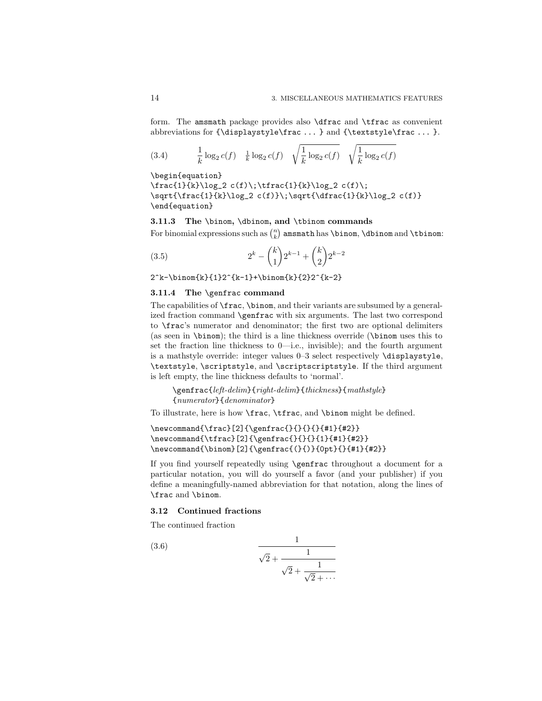form. The amsmath package provides also \dfrac and \tfrac as convenient abbreviations for  $\displaystyle{\sigma \dots}$  and  $\text{stackfulc}$  ... }.

(3.4) 
$$
\frac{1}{k} \log_2 c(f) \quad \frac{1}{k} \log_2 c(f) \quad \sqrt{\frac{1}{k} \log_2 c(f)} \quad \sqrt{\frac{1}{k} \log_2 c(f)}
$$

\begin{equation} \frac{1}{k}\log\_2 c(f)\;\tfrac{1}{k}\log\_2 c(f)\; \sqrt{\frac{1}{k}\log\_2 c(f)}\;\sqrt{\dfrac{1}{k}\log\_2 c(f)} \end{equation}

**3.11.3 The** \binom**,** \dbinom**, and** \tbinom **commands** For binomial expressions such as  $\binom{n}{k}$  amsmath has **\binom**, **\dbinom** and **\tbinom:** 

(3.5) 
$$
2^{k} - {k \choose 1} 2^{k-1} + {k \choose 2} 2^{k-2}
$$

 $2^k-\binom{k}{1}2^{\k-1}+\binom{k}{2}2^{\k-2}$ 

### **3.11.4 The** \genfrac **command**

The capabilities of \frac, \binom, and their variants are subsumed by a generalized fraction command \genfrac with six arguments. The last two correspond to \frac's numerator and denominator; the first two are optional delimiters (as seen in \binom); the third is a line thickness override (\binom uses this to set the fraction line thickness to 0—i.e., invisible); and the fourth argument is a mathstyle override: integer values 0–3 select respectively \displaystyle, \textstyle, \scriptstyle, and \scriptscriptstyle. If the third argument is left empty, the line thickness defaults to 'normal'.

\genfrac{left-delim}{right-delim}{thickness}{mathstyle} {numerator}{denominator}

To illustrate, here is how \frac, \tfrac, and \binom might be defined.

```
\newcommand{\frac}[2]{\genfrac{}{}{}{}{#1}{#2}}
\newcommand{\tfrac}[2]{\genfrac{}{}{}{1}{#1}{#2}}
\newcommand{\binom}[2]{\genfrac{(}{)}{0pt}{}{#1}{#2}}
```
If you find yourself repeatedly using \genfrac throughout a document for a particular notation, you will do yourself a favor (and your publisher) if you define a meaningfully-named abbreviation for that notation, along the lines of \frac and \binom.

### **3.12 Continued fractions**

The continued fraction

(3.6) 
$$
\frac{1}{\sqrt{2} + \frac{1}{\sqrt{2} + \frac{1}{\sqrt{2} + \dotsb}}}
$$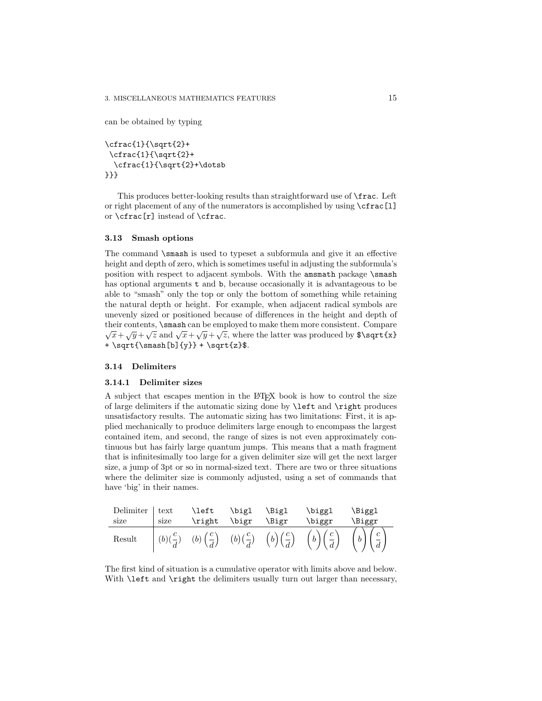can be obtained by typing

\cfrac{1}{\sqrt{2}+ \cfrac{1}{\sqrt{2}+ \cfrac{1}{\sqrt{2}+\dotsb }}}

This produces better-looking results than straightforward use of \frac. Left or right placement of any of the numerators is accomplished by using \cfrac[l] or \cfrac[r] instead of \cfrac.

#### **3.13 Smash options**

The command \smash is used to typeset a subformula and give it an effective height and depth of zero, which is sometimes useful in adjusting the subformula's position with respect to adjacent symbols. With the amsmath package \smash has optional arguments t and b, because occasionally it is advantageous to be able to "smash" only the top or only the bottom of something while retaining the natural depth or height. For example, when adjacent radical symbols are unevenly sized or positioned because of differences in the height and depth of their contents, \smash can be employed to make them more consistent. Compare  $\sqrt{x}+\sqrt{y}+\sqrt{z}$  and  $\sqrt{x}+\sqrt{y}+\sqrt{z}$ , where the latter was produced by \$\sqrt{x} + \sqrt{\smash[b]{y}} + \sqrt{z}\$.

### **3.14 Delimiters**

#### **3.14.1 Delimiter sizes**

A subject that escapes mention in the LATEX book is how to control the size of large delimiters if the automatic sizing done by \left and \right produces unsatisfactory results. The automatic sizing has two limitations: First, it is applied mechanically to produce delimiters large enough to encompass the largest contained item, and second, the range of sizes is not even approximately continuous but has fairly large quantum jumps. This means that a math fragment that is infinitesimally too large for a given delimiter size will get the next larger size, a jump of 3pt or so in normal-sized text. There are two or three situations where the delimiter size is commonly adjusted, using a set of commands that have 'big' in their names.

| Delimiter text |      | \left \bigl \Bigl |       |       | \biggl                                                                                                                                              | \Biggl |
|----------------|------|-------------------|-------|-------|-----------------------------------------------------------------------------------------------------------------------------------------------------|--------|
| size           | size | $\right\}$        | \bigr | \Bigr | \biggr                                                                                                                                              | \Biggr |
| Result         |      |                   |       |       | $\left( (b)(\frac{c}{d}) - (b)(\frac{c}{d}) - (b)(\frac{c}{d}) - (b)(\frac{c}{d}) - (b)(\frac{c}{d}) - (b)(\frac{c}{d}) - (b)(\frac{c}{d}) \right)$ |        |

The first kind of situation is a cumulative operator with limits above and below. With **\left** and **\right** the delimiters usually turn out larger than necessary,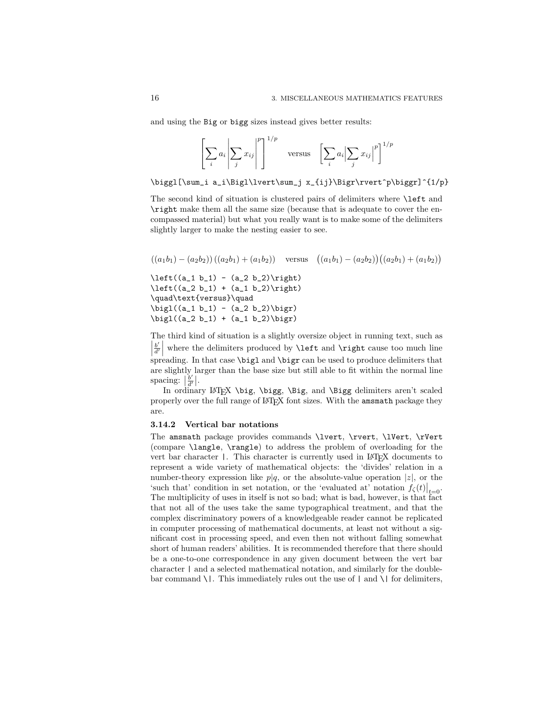and using the Big or bigg sizes instead gives better results:

$$
\left[\sum_{i} a_{i} \left| \sum_{j} x_{ij} \right|^{p} \right]^{1/p} \quad \text{versus} \quad \left[\sum_{i} a_{i} \left| \sum_{j} x_{ij} \right|^{p} \right]^{1/p}
$$

\biggl[\sum\_i a\_i\Bigl\lvert\sum\_j x\_{ij}\Bigr\rvert^p\biggr]^{1/p}

The second kind of situation is clustered pairs of delimiters where \left and \right make them all the same size (because that is adequate to cover the encompassed material) but what you really want is to make some of the delimiters slightly larger to make the nesting easier to see.

 $((a_1b_1) - (a_2b_2))((a_2b_1) + (a_1b_2))$  versus  $((a_1b_1) - (a_2b_2))((a_2b_1) + (a_1b_2))$  $\left( (a_1 b_1) - (a_2 b_2) \right)$  $\left( (a_2 b_1) + (a_1 b_2) \right)$ \quad\text{versus}\quad  $\big\{(a_1 b_1) - (a_2 b_2)\big\}$  $\big\{(a_2 b_1) + (a_1 b_2)\big\}$ 

The third kind of situation is a slightly oversize object in running text, such as  $\left|\frac{b'}{d'}\right|$  where the delimiters produced by **\left** and **\right** cause too much line  $\begin{bmatrix} a' \\ b \end{bmatrix}$  is equined spreading. In that case **\bigl** and **\bigr** can be used to produce delimiters that are slightly larger than the base size but still able to fit within the normal line spacing:  $\left|\frac{b'}{d'}\right|$ .

In ordinary LAT<sub>E</sub>X \big, \bigg, \Big, and \Bigg delimiters aren't scaled properly over the full range of LATEX font sizes. With the amsmath package they are.

#### **3.14.2 Vertical bar notations**

The amsmath package provides commands \lvert, \rvert, \lVert, \rVert (compare \langle, \rangle) to address the problem of overloading for the vert bar character |. This character is currently used in LAT<sub>E</sub>X documents to represent a wide variety of mathematical objects: the 'divides' relation in a number-theory expression like  $p|q$ , or the absolute-value operation |z|, or the 'such that' condition in set notation, or the 'evaluated at' notation  $f_{\zeta}(t)|_{t=0}$ . The multiplicity of uses in itself is not so bad; what is bad, however, is that fact that not all of the uses take the same typographical treatment, and that the complex discriminatory powers of a knowledgeable reader cannot be replicated in computer processing of mathematical documents, at least not without a significant cost in processing speed, and even then not without falling somewhat short of human readers' abilities. It is recommended therefore that there should be a one-to-one correspondence in any given document between the vert bar character | and a selected mathematical notation, and similarly for the doublebar command  $\setminus$ . This immediately rules out the use of  $|$  and  $\setminus$  for delimiters,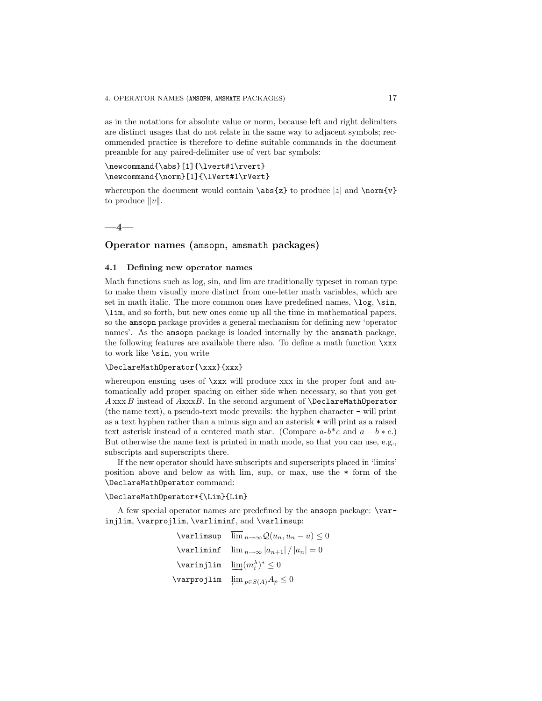as in the notations for absolute value or norm, because left and right delimiters are distinct usages that do not relate in the same way to adjacent symbols; recommended practice is therefore to define suitable commands in the document preamble for any paired-delimiter use of vert bar symbols:

### \newcommand{\abs}[1]{\lvert#1\rvert} \newcommand{\norm}[1]{\lVert#1\rVert}

whereupon the document would contain  $\abs{z}$  to produce  $|z|$  and  $\normal{\normalsize\char`$ to produce  $||v||$ .

$$
-4 -
$$

### **Operator names (**amsopn**,** amsmath **packages)**

### **4.1 Defining new operator names**

Math functions such as log, sin, and lim are traditionally typeset in roman type to make them visually more distinct from one-letter math variables, which are set in math italic. The more common ones have predefined names,  $\log$ ,  $\sin$ , \lim, and so forth, but new ones come up all the time in mathematical papers, so the amsopn package provides a general mechanism for defining new 'operator names'. As the amsopn package is loaded internally by the amsmath package, the following features are available there also. To define a math function \xxx to work like \sin, you write

### \DeclareMathOperator{\xxx}{xxx}

whereupon ensuing uses of  $\xxx$  will produce xxx in the proper font and automatically add proper spacing on either side when necessary, so that you get  $A$  xxx  $B$  instead of  $A$ xxx $B$ . In the second argument of  $\Delta$ DeclareMathOperator (the name text), a pseudo-text mode prevails: the hyphen character - will print as a text hyphen rather than a minus sign and an asterisk \* will print as a raised text asterisk instead of a centered math star. (Compare  $a-b$ <sup>\*</sup>c and  $a-b$  \*c.) But otherwise the name text is printed in math mode, so that you can use, e.g., subscripts and superscripts there.

If the new operator should have subscripts and superscripts placed in 'limits' position above and below as with lim, sup, or max, use the \* form of the \DeclareMathOperator command:

### \DeclareMathOperator\*{\Lim}{Lim}

A few special operator names are predefined by the amsopn package: \varinjlim, \varprojlim, \varliminf, and \varlimsup:

> $\varphi$  lim  $\lim_{n\to\infty} Q(u_n, u_n - u) \leq 0$  $\varphi$  \varliminf  $\lim_{n\to\infty} |a_{n+1}| / |a_n| = 0$  $\text{Vary} \leq 0$  $\text{Varyrojlim} \ \varprojlim_{p\in S(A)} A_p \leq 0$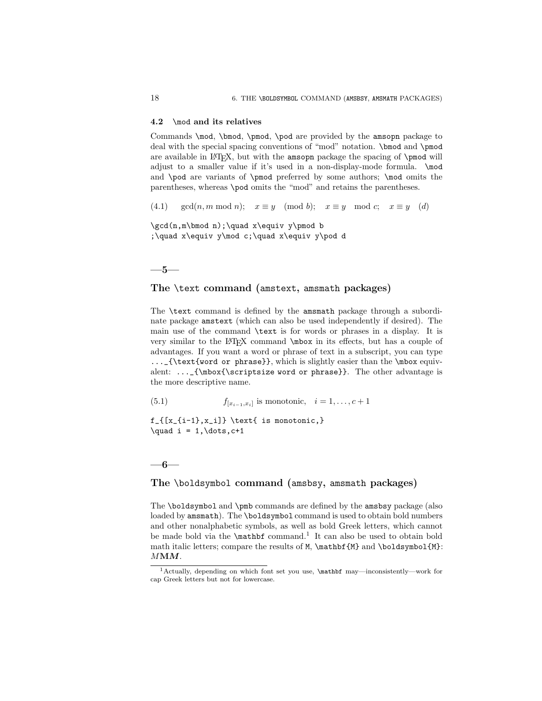#### **4.2** \mod **and its relatives**

Commands \mod, \bmod, \pmod, \pod are provided by the amsopn package to deal with the special spacing conventions of "mod" notation. \bmod and \pmod are available in LAT<sub>EX</sub>, but with the amsopn package the spacing of \pmod will adjust to a smaller value if it's used in a non-display-mode formula. \mod and \pod are variants of \pmod preferred by some authors; \mod omits the parentheses, whereas \pod omits the "mod" and retains the parentheses.

(4.1)  $gcd(n, m \mod n);$   $x \equiv y \pmod{b};$   $x \equiv y \mod c;$   $x \equiv y \pmod{d}$ 

\gcd(n,m\bmod n);\quad x\equiv y\pmod b ;\quad x\equiv y\mod c;\quad x\equiv y\pod d

### **—5—**

### **The** \text **command (**amstext**,** amsmath **packages)**

The \text command is defined by the amsmath package through a subordinate package amstext (which can also be used independently if desired). The main use of the command \text is for words or phrases in a display. It is very similar to the LATEX command \mbox in its effects, but has a couple of advantages. If you want a word or phrase of text in a subscript, you can type ...\_{\text{word or phrase}}, which is slightly easier than the \mbox equivalent:  $\ldots$  {\mbox{\scriptsize word or phrase}}. The other advantage is the more descriptive name.

(5.1)  $f_{[x_{i-1},x_i]}$  is monotonic,  $i = 1,...,c+1$ 

 $f_{[x_{i-1},x_i]}$  \text{ is monotonic,}  $\quad i = 1, \dots, c+1$ 

### **—6—**

### **The** \boldsymbol **command (**amsbsy**,** amsmath **packages)**

The \boldsymbol and \pmb commands are defined by the amsbsy package (also loaded by amsmath). The \boldsymbol command is used to obtain bold numbers and other nonalphabetic symbols, as well as bold Greek letters, which cannot be made bold via the **\mathbf** command.<sup>1</sup> It can also be used to obtain bold math italic letters; compare the results of M, \mathbf{M} and \boldsymbol{M}; M**M***M*.

<sup>1</sup>Actually, depending on which font set you use, \mathbf may—inconsistently—work for cap Greek letters but not for lowercase.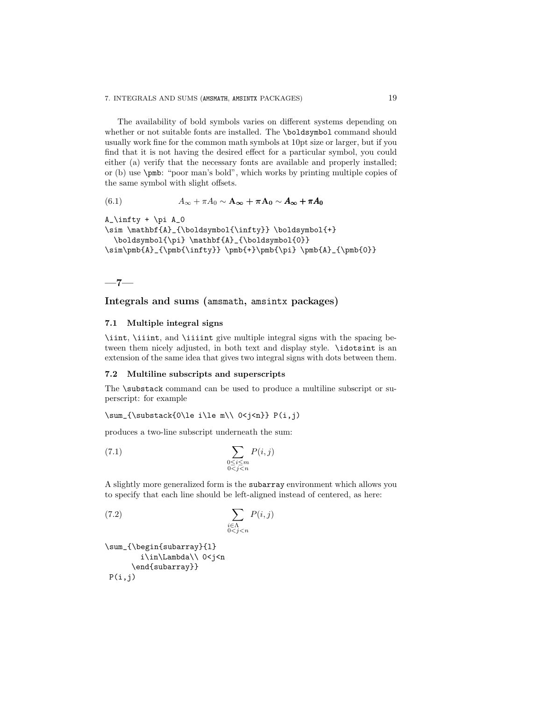The availability of bold symbols varies on different systems depending on whether or not suitable fonts are installed. The \boldsymbol command should usually work fine for the common math symbols at 10pt size or larger, but if you find that it is not having the desired effect for a particular symbol, you could either (a) verify that the necessary fonts are available and properly installed; or (b) use \pmb: "poor man's bold", which works by printing multiple copies of the same symbol with slight offsets.

(6.1) 
$$
A_{\infty} + \pi A_0 \sim \mathbf{A}_{\infty} + \pi \mathbf{A}_0 \sim A_{\infty} + \pi A_0
$$

 $A_\infty$ infty + \pi  $A_0$ 

\sim \mathbf{A}\_{\boldsymbol{\infty}} \boldsymbol{+} \boldsymbol{\pi} \mathbf{A}\_{\boldsymbol{0}} \sim\pmb{A}\_{\pmb{\infty}} \pmb{+}\pmb{\pi} \pmb{A}\_{\pmb{0}}

$$
\overline{\phantom{0}}^{7-}
$$

### **Integrals and sums (**amsmath**,** amsintx **packages)**

### **7.1 Multiple integral signs**

\iint, \iiint, and \iiiint give multiple integral signs with the spacing between them nicely adjusted, in both text and display style. \idotsint is an extension of the same idea that gives two integral signs with dots between them.

#### **7.2 Multiline subscripts and superscripts**

The \substack command can be used to produce a multiline subscript or superscript: for example

 $\sum_{\substack{0\\le i\\le m\\ 0\le i\le n}} P(i, j)$ 

produces a two-line subscript underneath the sum:

$$
\sum_{\substack{0 \le i \le m \\ 0 < j < n}} P(i, j)
$$

A slightly more generalized form is the subarray environment which allows you to specify that each line should be left-aligned instead of centered, as here:

$$
\sum_{\substack{i \in \Lambda \\ 0 < j < n}} P(i, j)
$$

\sum\_{\begin{subarray}{l} i\in\Lambda\\ 0<j<n \end{subarray}}  $P(i,j)$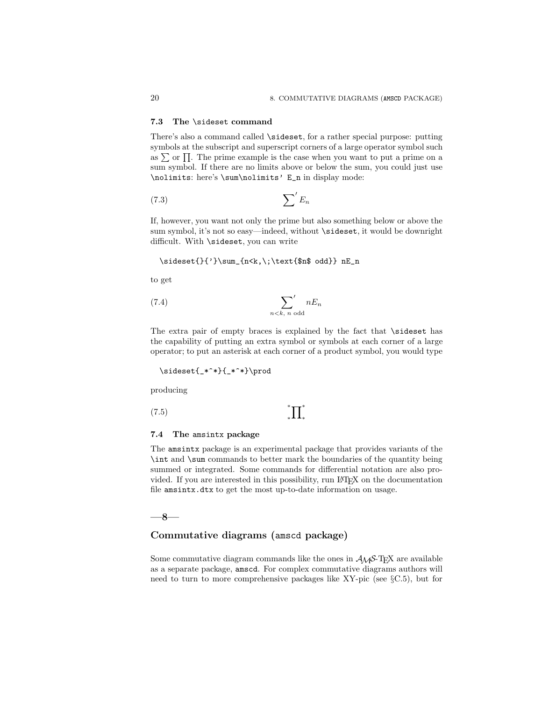#### **7.3 The** \sideset **command**

There's also a command called \sideset, for a rather special purpose: putting symbols at the subscript and superscript corners of a large operator symbol such as  $\sum$  or  $\Pi$ . The prime example is the case when you want to put a prime on a sum symbol. If there are no limits above or below the sum, you could just use \nolimits: here's \sum\nolimits' E\_n in display mode:

$$
(7.3)\t\t \t\t \sum' E_n
$$

If, however, you want not only the prime but also something below or above the sum symbol, it's not so easy—indeed, without \sideset, it would be downright difficult. With \sideset, you can write

\sideset{}{'}\sum\_{n<k,\;\text{\$n\$ odd}} nE\_n

to get

$$
(7.4) \qquad \qquad \sum_{n < k, n \text{ odd}}' nE_n
$$

The extra pair of empty braces is explained by the fact that \sideset has the capability of putting an extra symbol or symbols at each corner of a large operator; to put an asterisk at each corner of a product symbol, you would type

\sideset{\_\*^\*}{\_\*^\*}\prod

producing

 $(7.5)$   $*$   $\prod_{*}$ 

#### ∗ ∗  $\Pi^*$

#### **7.4 The** amsintx **package**

The amsintx package is an experimental package that provides variants of the \int and \sum commands to better mark the boundaries of the quantity being summed or integrated. Some commands for differential notation are also provided. If you are interested in this possibility, run LAT<sub>E</sub>X on the documentation file amsintx.dtx to get the most up-to-date information on usage.

**—8—**

### **Commutative diagrams (**amscd **package)**

Some commutative diagram commands like the ones in  $A_{\mathcal{M}}S$ -T<sub>E</sub>X are available as a separate package, amscd. For complex commutative diagrams authors will need to turn to more comprehensive packages like XY-pic (see §C.5), but for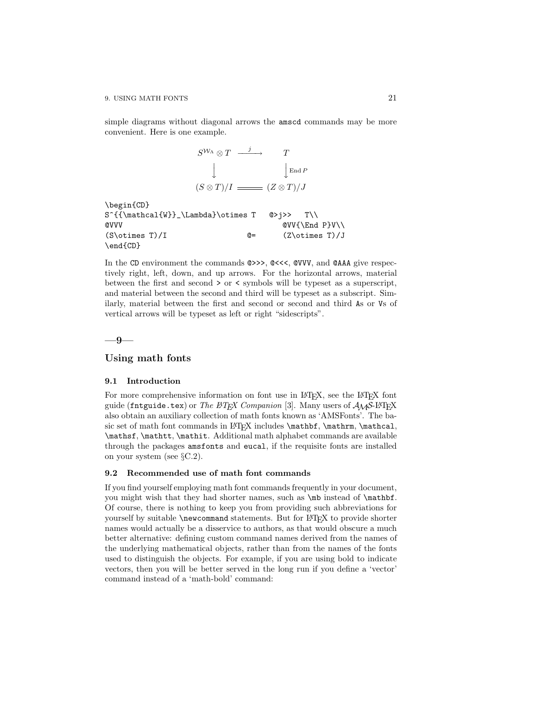simple diagrams without diagonal arrows the amscd commands may be more convenient. Here is one example.

<sup>S</sup>W<sup>Λ</sup> <sup>⊗</sup> <sup>T</sup> <sup>j</sup> −−−−→ <sup>T</sup> y y End P (S ⊗ T )/I (Z ⊗ T )/J \begin{CD} S^{{\mathcal{W}}\_\Lambda}\otimes T @>j>> T\\ @VVV @VV{\End P}V\\ (S\otimes T)/I @= (Z\otimes T)/J \end{CD}

In the CD environment the commands  $\circ \gg$ ,  $\circ <<$ ,  $\circ$ VVV, and  $\circ$ AAA give respectively right, left, down, and up arrows. For the horizontal arrows, material between the first and second > or < symbols will be typeset as a superscript, and material between the second and third will be typeset as a subscript. Similarly, material between the first and second or second and third As or Vs of vertical arrows will be typeset as left or right "sidescripts".

**—9—**

### **Using math fonts**

#### **9.1 Introduction**

For more comprehensive information on font use in L<sup>AT</sup>EX, see the L<sup>AT</sup>EX font guide (fntguide.tex) or The LATEX Companion [3]. Many users of  $A_{\mathcal{M}}S$ -LATEX also obtain an auxiliary collection of math fonts known as 'AMSFonts'. The basic set of math font commands in LAT<sub>E</sub>X includes \mathbf, \mathrm, \mathcal, \mathsf, \mathtt, \mathit. Additional math alphabet commands are available through the packages amsfonts and eucal, if the requisite fonts are installed on your system (see §C.2).

### **9.2 Recommended use of math font commands**

If you find yourself employing math font commands frequently in your document, you might wish that they had shorter names, such as \mb instead of \mathbf. Of course, there is nothing to keep you from providing such abbreviations for yourself by suitable **\newcommand** statements. But for L<sup>AT</sup>EX to provide shorter names would actually be a disservice to authors, as that would obscure a much better alternative: defining custom command names derived from the names of the underlying mathematical objects, rather than from the names of the fonts used to distinguish the objects. For example, if you are using bold to indicate vectors, then you will be better served in the long run if you define a 'vector' command instead of a 'math-bold' command: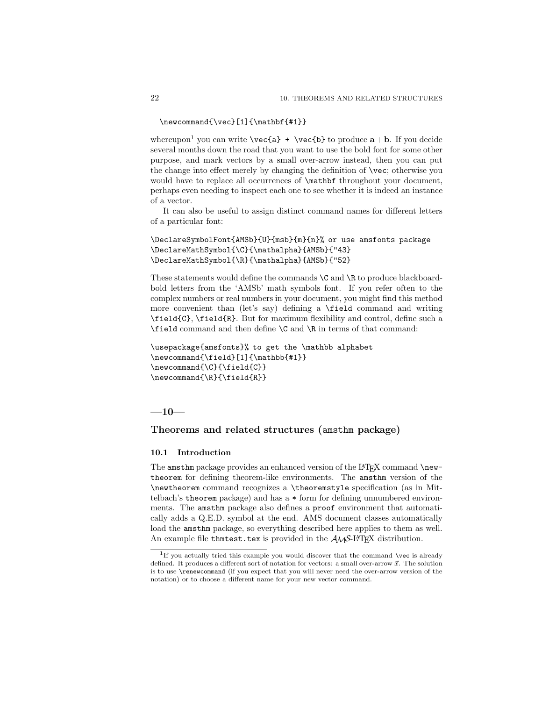```
\newcommand{\vec}[1]{\mathbf{#1}}
```
whereupon<sup>1</sup> you can write  $\vec{a} + \vec{b}$  to produce  $\vec{a} + \vec{b}$ . If you decide several months down the road that you want to use the bold font for some other purpose, and mark vectors by a small over-arrow instead, then you can put the change into effect merely by changing the definition of \vec; otherwise you would have to replace all occurrences of \mathbf throughout your document, perhaps even needing to inspect each one to see whether it is indeed an instance of a vector.

It can also be useful to assign distinct command names for different letters of a particular font:

```
\DeclareSymbolFont{AMSb}{U}{msb}{m}{n}% or use amsfonts package
\DeclareMathSymbol{\C}{\mathalpha}{AMSb}{"43}
\DeclareMathSymbol{\R}{\mathalpha}{AMSb}{"52}
```
These statements would define the commands  $\setminus$ C and  $\setminus$ R to produce blackboardbold letters from the 'AMSb' math symbols font. If you refer often to the complex numbers or real numbers in your document, you might find this method more convenient than (let's say) defining a \field command and writing \field{C}, \field{R}. But for maximum flexibility and control, define such a \field command and then define \C and \R in terms of that command:

```
\usepackage{amsfonts}% to get the \mathbb alphabet
\newcommand{\field}[1]{\mathbb{#1}}
\newcommand{\C}{\field{C}}
\newcommand{\R}{\field{R}}
```
**—10—**

### **Theorems and related structures (**amsthm **package)**

### **10.1 Introduction**

The amsthm package provides an enhanced version of the  $IATFX$  command  $\newcommand{\new}{{\newcommand{\new}}{\newcommand{\new}}{\newcommand{\new}}{\newcommand{\new}}$ theorem for defining theorem-like environments. The amsthm version of the \newtheorem command recognizes a \theoremstyle specification (as in Mittelbach's theorem package) and has a \* form for defining unnumbered environments. The amsthm package also defines a proof environment that automatically adds a Q.E.D. symbol at the end. AMS document classes automatically load the amsthm package, so everything described here applies to them as well. An example file that est.tex is provided in the  $A\mathcal{M}S$ -L<sup>AT</sup>EX distribution.

 $1$ If you actually tried this example you would discover that the command \vec is already defined. It produces a different sort of notation for vectors: a small over-arrow  $\vec{x}$ . The solution is to use \renewcommand (if you expect that you will never need the over-arrow version of the notation) or to choose a different name for your new vector command.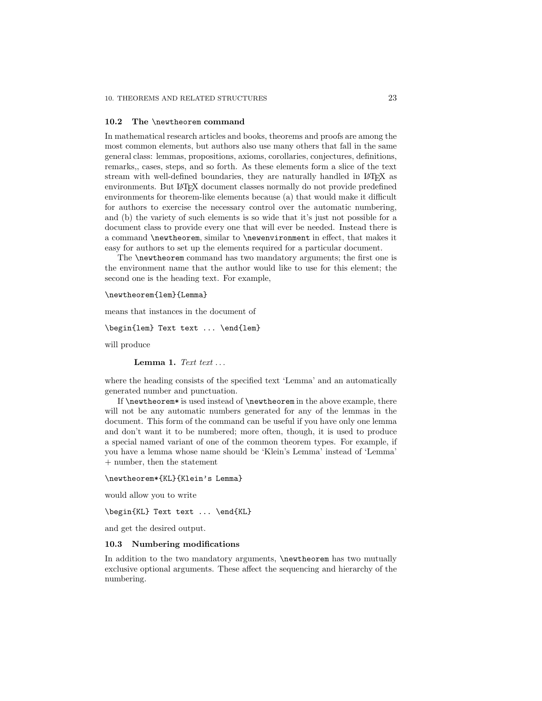#### **10.2 The** \newtheorem **command**

In mathematical research articles and books, theorems and proofs are among the most common elements, but authors also use many others that fall in the same general class: lemmas, propositions, axioms, corollaries, conjectures, definitions, remarks,, cases, steps, and so forth. As these elements form a slice of the text stream with well-defined boundaries, they are naturally handled in LATEX as environments. But LATEX document classes normally do not provide predefined environments for theorem-like elements because (a) that would make it difficult for authors to exercise the necessary control over the automatic numbering, and (b) the variety of such elements is so wide that it's just not possible for a document class to provide every one that will ever be needed. Instead there is a command \newtheorem, similar to \newenvironment in effect, that makes it easy for authors to set up the elements required for a particular document.

The \newtheorem command has two mandatory arguments; the first one is the environment name that the author would like to use for this element; the second one is the heading text. For example,

\newtheorem{lem}{Lemma}

means that instances in the document of

\begin{lem} Text text ... \end{lem}

will produce

Lemma 1.  $Tert$  text ...

where the heading consists of the specified text 'Lemma' and an automatically generated number and punctuation.

If \newtheorem\* is used instead of \newtheorem in the above example, there will not be any automatic numbers generated for any of the lemmas in the document. This form of the command can be useful if you have only one lemma and don't want it to be numbered; more often, though, it is used to produce a special named variant of one of the common theorem types. For example, if you have a lemma whose name should be 'Klein's Lemma' instead of 'Lemma' + number, then the statement

#### \newtheorem\*{KL}{Klein's Lemma}

would allow you to write

\begin{KL} Text text ... \end{KL}

and get the desired output.

### **10.3 Numbering modifications**

In addition to the two mandatory arguments, **\newtheorem** has two mutually exclusive optional arguments. These affect the sequencing and hierarchy of the numbering.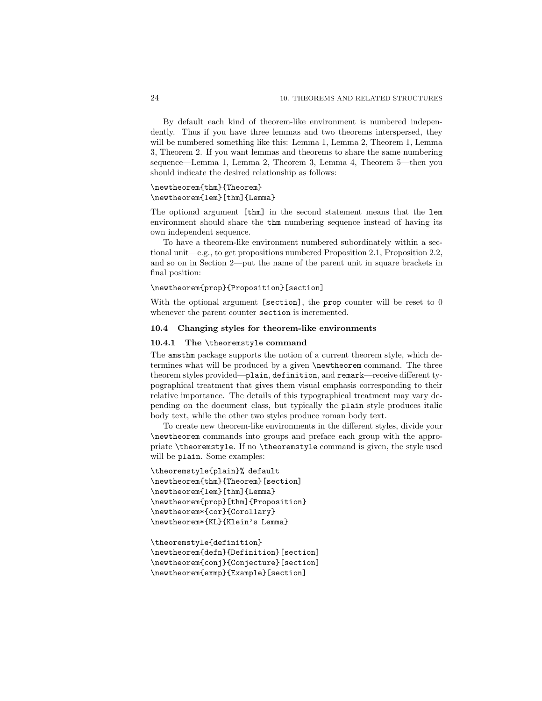By default each kind of theorem-like environment is numbered independently. Thus if you have three lemmas and two theorems interspersed, they will be numbered something like this: Lemma 1, Lemma 2, Theorem 1, Lemma 3, Theorem 2. If you want lemmas and theorems to share the same numbering sequence—Lemma 1, Lemma 2, Theorem 3, Lemma 4, Theorem 5—then you should indicate the desired relationship as follows:

### \newtheorem{thm}{Theorem} \newtheorem{lem}[thm]{Lemma}

The optional argument [thm] in the second statement means that the lem environment should share the thm numbering sequence instead of having its own independent sequence.

To have a theorem-like environment numbered subordinately within a sectional unit—e.g., to get propositions numbered Proposition 2.1, Proposition 2.2, and so on in Section 2—put the name of the parent unit in square brackets in final position:

### \newtheorem{prop}{Proposition}[section]

With the optional argument [section], the prop counter will be reset to 0 whenever the parent counter section is incremented.

#### **10.4 Changing styles for theorem-like environments**

#### **10.4.1 The** \theoremstyle **command**

The amsthm package supports the notion of a current theorem style, which determines what will be produced by a given \newtheorem command. The three theorem styles provided—plain, definition, and remark—receive different typographical treatment that gives them visual emphasis corresponding to their relative importance. The details of this typographical treatment may vary depending on the document class, but typically the plain style produces italic body text, while the other two styles produce roman body text.

To create new theorem-like environments in the different styles, divide your \newtheorem commands into groups and preface each group with the appropriate \theoremstyle. If no \theoremstyle command is given, the style used will be plain. Some examples:

```
\theoremstyle{plain}% default
\newtheorem{thm}{Theorem}[section]
\newtheorem{lem}[thm]{Lemma}
\newtheorem{prop}[thm]{Proposition}
\newtheorem*{cor}{Corollary}
\newtheorem*{KL}{Klein's Lemma}
```
\theoremstyle{definition} \newtheorem{defn}{Definition}[section] \newtheorem{conj}{Conjecture}[section] \newtheorem{exmp}{Example}[section]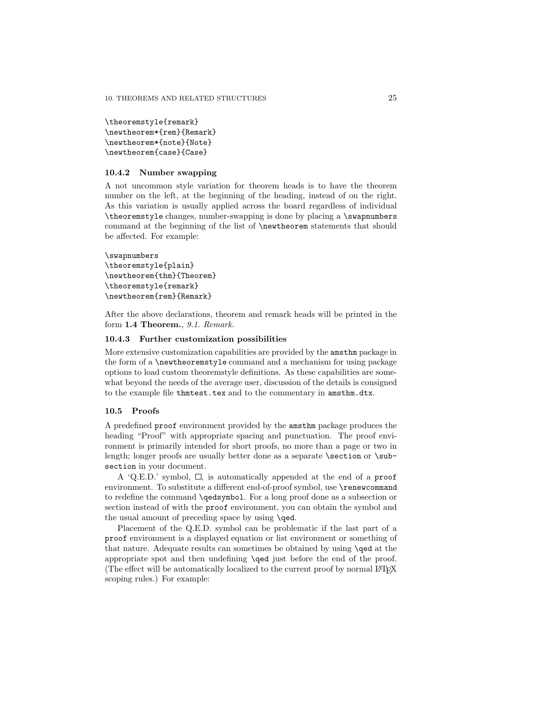```
\theoremstyle{remark}
\newtheorem*{rem}{Remark}
\newtheorem*{note}{Note}
\newtheorem{case}{Case}
```
### **10.4.2 Number swapping**

A not uncommon style variation for theorem heads is to have the theorem number on the left, at the beginning of the heading, instead of on the right. As this variation is usually applied across the board regardless of individual \theoremstyle changes, number-swapping is done by placing a \swapnumbers command at the beginning of the list of \newtheorem statements that should be affected. For example:

```
\swapnumbers
\theoremstyle{plain}
\newtheorem{thm}{Theorem}
\theoremstyle{remark}
\newtheorem{rem}{Remark}
```
After the above declarations, theorem and remark heads will be printed in the form **1.4 Theorem.**, 9.1. Remark.

#### **10.4.3 Further customization possibilities**

More extensive customization capabilities are provided by the amsthm package in the form of a \newtheoremstyle command and a mechanism for using package options to load custom theoremstyle definitions. As these capabilities are somewhat beyond the needs of the average user, discussion of the details is consigned to the example file thmtest.tex and to the commentary in amsthm.dtx.

#### **10.5 Proofs**

A predefined proof environment provided by the amsthm package produces the heading "Proof" with appropriate spacing and punctuation. The proof environment is primarily intended for short proofs, no more than a page or two in length; longer proofs are usually better done as a separate  $\setminus$  section or  $\setminus$  subsection in your document.

A 'Q.E.D.' symbol,  $\Box$ , is automatically appended at the end of a proof environment. To substitute a different end-of-proof symbol, use \renewcommand to redefine the command \qedsymbol. For a long proof done as a subsection or section instead of with the proof environment, you can obtain the symbol and the usual amount of preceding space by using **\qed.** 

Placement of the Q.E.D. symbol can be problematic if the last part of a proof environment is a displayed equation or list environment or something of that nature. Adequate results can sometimes be obtained by using \qed at the appropriate spot and then undefining \qed just before the end of the proof. (The effect will be automatically localized to the current proof by normal LAT<sub>EX</sub> scoping rules.) For example: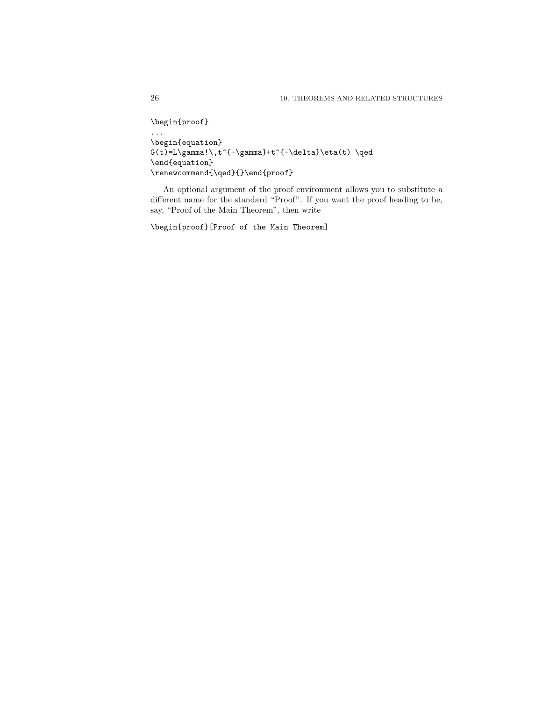```
\begin{proof}
...
\begin{equation}
G(t)=L\gamma! \, t^{\{-\gamma\}}+t^{\{-\delta\}}\eta(t) \, \qquad\end{equation}
\verb|\remewcommand{{\q0}+{\}+end{proof}|
```
An optional argument of the proof environment allows you to substitute a different name for the standard "Proof". If you want the proof heading to be, say, "Proof of the Main Theorem", then write

\begin{proof}[Proof of the Main Theorem]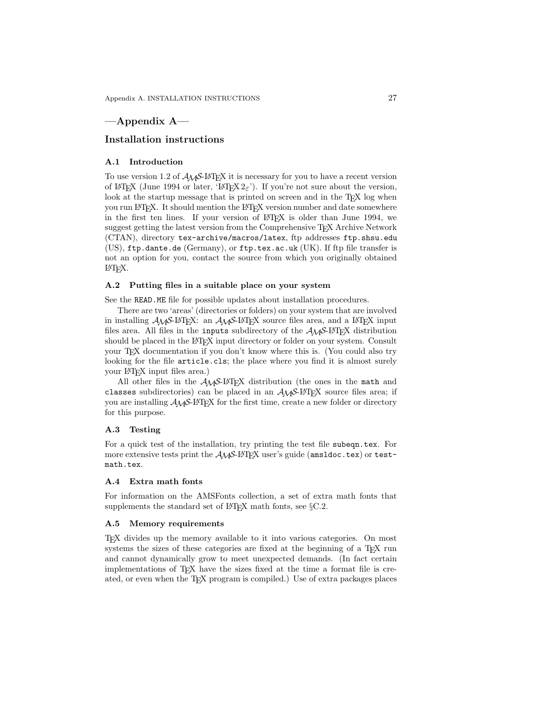# **—Appendix A—**

### **Installation instructions**

### **A.1 Introduction**

To use version 1.2 of  $A\mathcal{M}S$ -L<sup>AT</sup>EX it is necessary for you to have a recent version of LAT<sub>EX</sub> (June 1994 or later, 'LAT<sub>EX</sub>  $2\varepsilon$ '). If you're not sure about the version, look at the startup message that is printed on screen and in the T<sub>E</sub>X log when you run LAT<sub>E</sub>X. It should mention the LAT<sub>E</sub>X version number and date somewhere in the first ten lines. If your version of LAT<sub>E</sub>X is older than June 1994, we suggest getting the latest version from the Comprehensive TEX Archive Network (CTAN), directory tex-archive/macros/latex, ftp addresses ftp.shsu.edu (US), ftp.dante.de (Germany), or ftp.tex.ac.uk (UK). If ftp file transfer is not an option for you, contact the source from which you originally obtained LATEX.

#### **A.2 Putting files in a suitable place on your system**

See the READ.ME file for possible updates about installation procedures.

There are two 'areas' (directories or folders) on your system that are involved in installing  $A_{\mathcal{M}}S$ -L<sup>AT</sup>EX: an  $A_{\mathcal{M}}S$ -L<sup>AT</sup>EX source files area, and a L<sup>AT</sup>EX input files area. All files in the inputs subdirectory of the  $\mathcal{A}\mathcal{A}\mathcal{S}\text{-}L\text{+}T\text{P}\text{X}$  distribution should be placed in the LAT<sub>EX</sub> input directory or folder on your system. Consult your T<sub>E</sub>X documentation if you don't know where this is. (You could also try looking for the file article.cls; the place where you find it is almost surely your LAT<sub>EX</sub> input files area.)

All other files in the  $A\mathcal{M}S$ -LAT<sub>EX</sub> distribution (the ones in the math and classes subdirectories) can be placed in an  $A_{\mathcal{M}}S$ -LAT<sub>EX</sub> source files area; if you are installing  $\mathcal{A}_{\mathcal{M}}$ S-L<sup>A</sup>T<sub>E</sub>X for the first time, create a new folder or directory for this purpose.

#### **A.3 Testing**

For a quick test of the installation, try printing the test file subeqn.tex. For more extensive tests print the  $A_{\mathcal{M}}\mathcal{S}\text{-}L\text{-}T_{\mathcal{F}}X$  user's guide (amsldoc.tex) or testmath.tex.

### **A.4 Extra math fonts**

For information on the AMSFonts collection, a set of extra math fonts that supplements the standard set of  $L^2E^X$  math fonts, see §C.2.

### **A.5 Memory requirements**

TEX divides up the memory available to it into various categories. On most systems the sizes of these categories are fixed at the beginning of a T<sub>EX</sub> run and cannot dynamically grow to meet unexpected demands. (In fact certain implementations of TEX have the sizes fixed at the time a format file is created, or even when the TEX program is compiled.) Use of extra packages places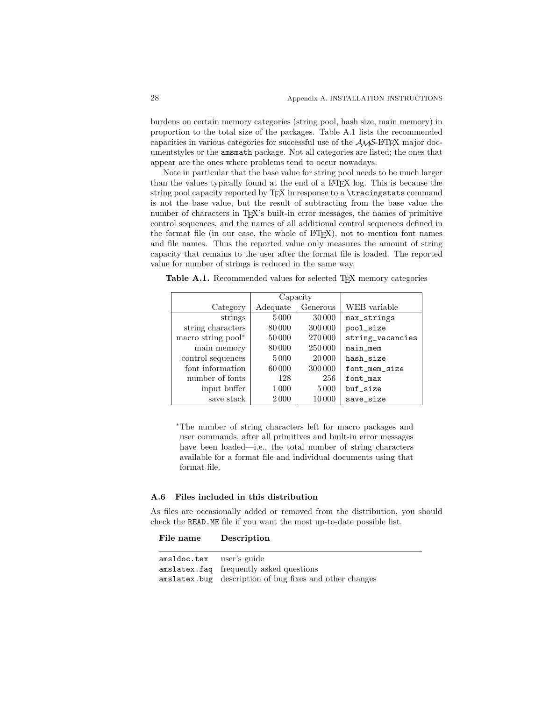burdens on certain memory categories (string pool, hash size, main memory) in proportion to the total size of the packages. Table A.1 lists the recommended capacities in various categories for successful use of the AMS-LATEX major documentstyles or the amsmath package. Not all categories are listed; the ones that appear are the ones where problems tend to occur nowadays.

Note in particular that the base value for string pool needs to be much larger than the values typically found at the end of a LATEX log. This is because the string pool capacity reported by T<sub>EX</sub> in response to a **\tracingstats** command is not the base value, but the result of subtracting from the base value the number of characters in TEX's built-in error messages, the names of primitive control sequences, and the names of all additional control sequences defined in the format file (in our case, the whole of  $\mathbb{F}(\mathbb{F}(\mathbb{R}^N))$ , not to mention font names and file names. Thus the reported value only measures the amount of string capacity that remains to the user after the format file is loaded. The reported value for number of strings is reduced in the same way.

Table A.1. Recommended values for selected T<sub>EX</sub> memory categories

|                    | Capacity             |         |                  |
|--------------------|----------------------|---------|------------------|
| Category           | Adequate<br>Generous |         | WEB variable     |
| strings            | 5000                 | 30000   | max_strings      |
| string characters  | 80000                | 300 000 | pool_size        |
| macro string pool* | 50000                | 270 000 | string_vacancies |
| main memory        | 80000                | 250000  | main_mem         |
| control sequences  | 5000                 | 20 000  | hash_size        |
| font information   | 60000                | 300 000 | font_mem_size    |
| number of fonts    | 128                  | 256     | font_max         |
| input buffer       | 1 0 0 0              | 5 0 0 0 | buf_size         |
| save stack         | 2000                 | 10000   | save_size        |

∗The number of string characters left for macro packages and user commands, after all primitives and built-in error messages have been loaded—i.e., the total number of string characters available for a format file and individual documents using that format file.

#### **A.6 Files included in this distribution**

As files are occasionally added or removed from the distribution, you should check the READ.ME file if you want the most up-to-date possible list.

| File name | Description |
|-----------|-------------|
|-----------|-------------|

amsldoc.tex user's guide amslatex.faq frequently asked questions amslatex.bug description of bug fixes and other changes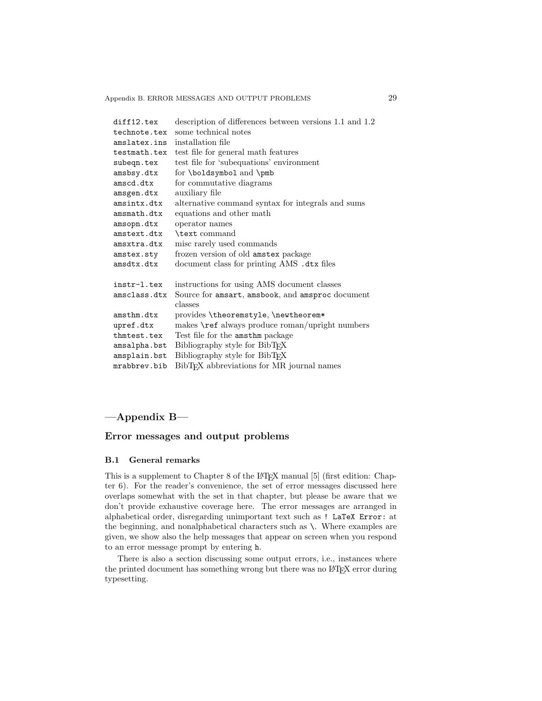| diff12.tex   | description of differences between versions 1.1 and 1.2 |
|--------------|---------------------------------------------------------|
| technote.tex | some technical notes                                    |
| amslatex.ins | installation file                                       |
| testmath.tex | test file for general math features                     |
| subeqn.tex   | test file for 'subequations' environment                |
| amsbsy.dtx   | for \boldsymbol and \pmb                                |
| amscd.dtx    | for commutative diagrams                                |
| amsgen.dtx   | auxiliary file                                          |
| amsintx.dtx  | alternative command syntax for integrals and sums       |
| amsmath.dtx  | equations and other math                                |
| amsopn.dtx   | operator names                                          |
| amstext.dtx  | \text command                                           |
| amsxtra.dtx  | misc rarely used commands                               |
| amstex.sty   | frozen version of old amstex package                    |
| amsdtx.dtx   | document class for printing AMS .dtx files              |
| instr-1.tex  | instructions for using AMS document classes             |
| amsclass.dtx | Source for amsart, amsbook, and amsproc document        |
|              | classes                                                 |
| amsthm.dtx   | provides \theoremstyle, \newtheorem*                    |
| upref.dtx    | makes \ref always produce roman/upright numbers         |
| thmtest.tex  | Test file for the amsthm package                        |
| amsalpha.bst | Bibliography style for BibTFX                           |
| amsplain.bst | Bibliography style for BibT <sub>F</sub> X              |
| mrabbrev.bib | BibT <sub>F</sub> X abbreviations for MR journal names  |

# **—Appendix B—**

### **Error messages and output problems**

#### **B.1 General remarks**

This is a supplement to Chapter 8 of the LATEX manual [5] (first edition: Chapter 6). For the reader's convenience, the set of error messages discussed here overlaps somewhat with the set in that chapter, but please be aware that we don't provide exhaustive coverage here. The error messages are arranged in alphabetical order, disregarding unimportant text such as ! LaTeX Error: at the beginning, and nonalphabetical characters such as \. Where examples are given, we show also the help messages that appear on screen when you respond to an error message prompt by entering h.

There is also a section discussing some output errors, i.e., instances where the printed document has something wrong but there was no LATEX error during typesetting.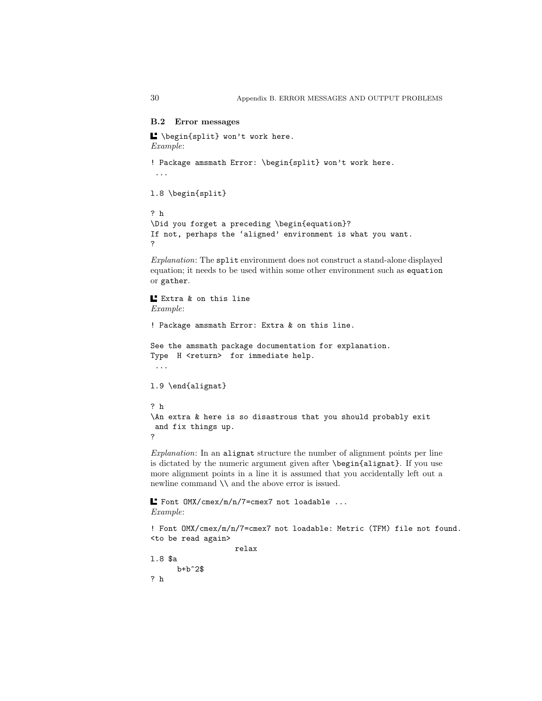### **B.2 Error messages**

```
\Box \begin{split} won't work here.
Example:
! Package amsmath Error: \begin{split} won't work here.
...
l.8 \begin{split}
? h
\Did you forget a preceding \begin{equation}?
If not, perhaps the 'aligned' environment is what you want.
?
```
Explanation: The split environment does not construct a stand-alone displayed equation; it needs to be used within some other environment such as equation or gather.

```
Extra & on this line
Example:
! Package amsmath Error: Extra & on this line.
See the amsmath package documentation for explanation.
Type H <return> for immediate help.
...
l.9 \end{alignat}
? h
\An extra & here is so disastrous that you should probably exit
and fix things up.
?
Explanation: In an alignat structure the number of alignment points per line
is dictated by the numeric argument given after \begin{alignat}. If you use
more alignment points in a line it is assumed that you accidentally left out a
newline command \\ and the above error is issued.
Font OMX/cmex/m/n/7=cmex7 not loadable ...
```
Example:

```
! Font OMX/cmex/m/n/7=cmex7 not loadable: Metric (TFM) file not found.
<to be read again>
                   relax
l.8 $a
     b+b^2$
? h
```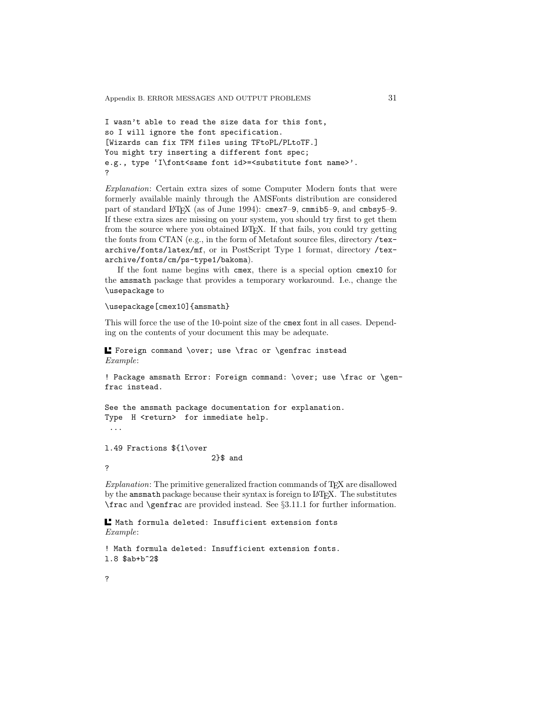```
I wasn't able to read the size data for this font,
so I will ignore the font specification.
[Wizards can fix TFM files using TFtoPL/PLtoTF.]
You might try inserting a different font spec;
e.g., type 'I\font<same font id>=<substitute font name>'.
?
```
Explanation: Certain extra sizes of some Computer Modern fonts that were formerly available mainly through the AMSFonts distribution are considered part of standard LAT<sub>E</sub>X (as of June 1994): cmex7-9, cmmib5-9, and cmbsy5-9. If these extra sizes are missing on your system, you should try first to get them from the source where you obtained LAT<sub>E</sub>X. If that fails, you could try getting the fonts from CTAN (e.g., in the form of Metafont source files, directory /texarchive/fonts/latex/mf, or in PostScript Type 1 format, directory /texarchive/fonts/cm/ps-type1/bakoma).

If the font name begins with cmex, there is a special option cmex10 for the amsmath package that provides a temporary workaround. I.e., change the \usepackage to

### \usepackage[cmex10]{amsmath}

This will force the use of the 10-point size of the cmex font in all cases. Depending on the contents of your document this may be adequate.

Foreign command \over; use \frac or \genfrac instead Example:

! Package amsmath Error: Foreign command: \over; use \frac or \genfrac instead.

```
See the amsmath package documentation for explanation.
Type H <return> for immediate help.
...
```
l.49 Fractions \${1\over 2}\$ and ?

 $Explanation$ : The primitive generalized fraction commands of T<sub>E</sub>X are disallowed by the amsmath package because their syntax is foreign to LAT<sub>E</sub>X. The substitutes \frac and \genfrac are provided instead. See §3.11.1 for further information.

Math formula deleted: Insufficient extension fonts Example:

```
! Math formula deleted: Insufficient extension fonts.
l.8 $ab+b^2$
```
?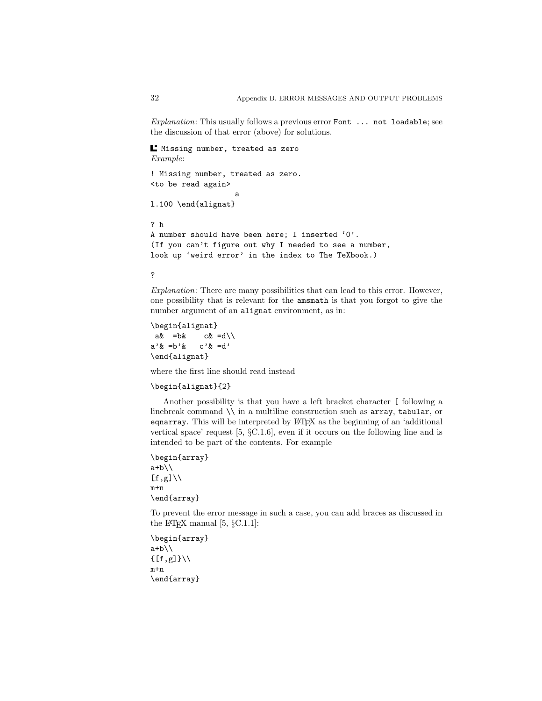Explanation: This usually follows a previous error Font ... not loadable; see the discussion of that error (above) for solutions.

Missing number, treated as zero Example:

```
! Missing number, treated as zero.
<to be read again>
                    a
l.100 \end{alignat}
```
? h A number should have been here; I inserted '0'. (If you can't figure out why I needed to see a number, look up 'weird error' in the index to The TeXbook.)

?

Explanation: There are many possibilities that can lead to this error. However, one possibility that is relevant for the amsmath is that you forgot to give the number argument of an alignat environment, as in:

\begin{alignat}  $ak = bk$   $ck = d \backslash \backslash$  $a'$ & =b'& c'& =d' \end{alignat}

where the first line should read instead

```
\begin{alignat}{2}
```
Another possibility is that you have a left bracket character [ following a linebreak command  $\setminus$  in a multiline construction such as array, tabular, or eqnarray. This will be interpreted by LATEX as the beginning of an 'additional vertical space' request [5, §C.1.6], even if it occurs on the following line and is intended to be part of the contents. For example

```
\begin{array}
a+b\backslash\backslash[f,g]\setminusm+n
\end{array}
```
To prevent the error message in such a case, you can add braces as discussed in the L<sup>AT</sup>FX manual  $[5, \S C.1.1]$ :

```
\begin{array}
a+b\backslash\backslash\{[f,g]\}\setminus\setminusm+n
\end{array}
```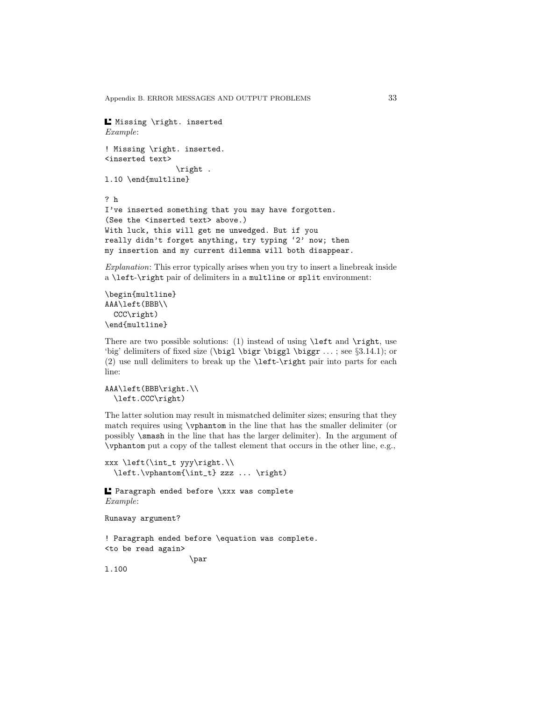Appendix B. ERROR MESSAGES AND OUTPUT PROBLEMS 33

```
L Missing \right. inserted
Example:
! Missing \right. inserted.
<inserted text>
                \right .
l.10 \end{multline}
? h
I've inserted something that you may have forgotten.
(See the <inserted text> above.)
With luck, this will get me unwedged. But if you
really didn't forget anything, try typing '2' now; then
my insertion and my current dilemma will both disappear.
```
Explanation: This error typically arises when you try to insert a linebreak inside a \left-\right pair of delimiters in a multline or split environment:

```
\begin{multline}
AAA\left(BBB\\
  CCC\right)
\end{multline}
```
There are two possible solutions: (1) instead of using \left and \right, use 'big' delimiters of fixed size ( $\bigcup$   $\bigcup$   $\bigcap$   $\bigcap$   $\bigcap$   $\bigcap$   $\bigcap$   $\bigcap$   $\bigcap$   $\bigcap$   $\bigcap$   $\bigcap$   $\bigcap$   $\bigcap$   $\bigcap$   $\bigcap$   $\bigcap$   $\bigcap$   $\bigcap$   $\bigcap$   $\bigcap$   $\bigcap$   $\bigcap$   $\bigcap$   $\bigcap$   $\bigcap$   $\bigcap$   $\bigcap$   $\bigcap$   $\bigcap$   $\bigcap$   $\big$ (2) use null delimiters to break up the \left-\right pair into parts for each line:

```
AAA\left(BBB\right.\\
  \left.CCC\right)
```
The latter solution may result in mismatched delimiter sizes; ensuring that they match requires using \vphantom in the line that has the smaller delimiter (or possibly \smash in the line that has the larger delimiter). In the argument of \vphantom put a copy of the tallest element that occurs in the other line, e.g.,

```
xxx \left(\int_t yyy\right.\\
  \left.\vphantom{\int_t} zzz ... \right)
```
Paragraph ended before \xxx was complete Example:

Runaway argument?

```
! Paragraph ended before \equation was complete.
<to be read again>
                   \par
```
l.100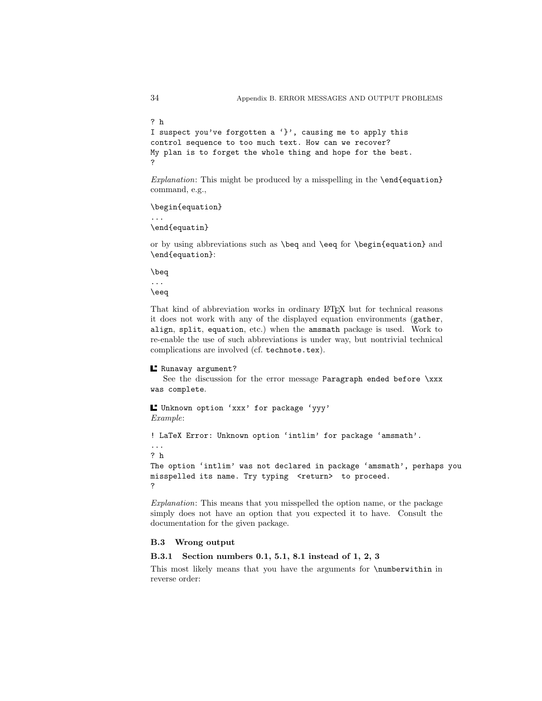```
? h
I suspect you've forgotten a '}', causing me to apply this
control sequence to too much text. How can we recover?
My plan is to forget the whole thing and hope for the best.
?
```
Explanation: This might be produced by a misspelling in the **\end{equation}** command, e.g.,

\begin{equation}

... \end{equatin}

or by using abbreviations such as \beq and \eeq for \begin{equation} and \end{equation}:

\beq

... \eeq

That kind of abbreviation works in ordinary LATEX but for technical reasons it does not work with any of the displayed equation environments (gather, align, split, equation, etc.) when the amsmath package is used. Work to re-enable the use of such abbreviations is under way, but nontrivial technical complications are involved (cf. technote.tex).

Runaway argument?

See the discussion for the error message Paragraph ended before \xxx was complete.

Unknown option 'xxx' for package 'yyy' Example:

! LaTeX Error: Unknown option 'intlim' for package 'amsmath'.

... ? h

The option 'intlim' was not declared in package 'amsmath', perhaps you misspelled its name. Try typing <return> to proceed. ?

Explanation: This means that you misspelled the option name, or the package simply does not have an option that you expected it to have. Consult the documentation for the given package.

### **B.3 Wrong output**

**B.3.1 Section numbers 0.1, 5.1, 8.1 instead of 1, 2, 3**

This most likely means that you have the arguments for \numberwithin in reverse order: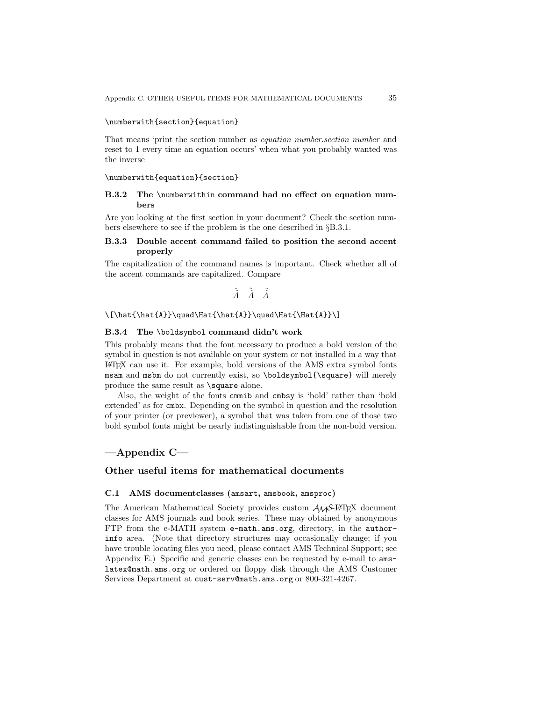### \numberwith{section}{equation}

That means 'print the section number as equation number.section number and reset to 1 every time an equation occurs' when what you probably wanted was the inverse

#### \numberwith{equation}{section}

### **B.3.2 The** \numberwithin **command had no effect on equation numbers**

Are you looking at the first section in your document? Check the section numbers elsewhere to see if the problem is the one described in §B.3.1.

### **B.3.3 Double accent command failed to position the second accent properly**

The capitalization of the command names is important. Check whether all of the accent commands are capitalized. Compare

$$
\hat{\hat{A}} \quad \hat{\hat{A}} \quad \hat{\hat{A}}
$$

#### $\[\hat{\hat{A}}\q]$ \quad\Hat{\hat{A}}\quad\Hat{\Hat{\Hat{A}}\]

### **B.3.4 The** \boldsymbol **command didn't work**

This probably means that the font necessary to produce a bold version of the symbol in question is not available on your system or not installed in a way that LATEX can use it. For example, bold versions of the AMS extra symbol fonts msam and msbm do not currently exist, so \boldsymbol{\square} will merely produce the same result as **\square** alone.

Also, the weight of the fonts cmmib and cmbsy is 'bold' rather than 'bold extended' as for cmbx. Depending on the symbol in question and the resolution of your printer (or previewer), a symbol that was taken from one of those two bold symbol fonts might be nearly indistinguishable from the non-bold version.

# **—Appendix C—**

### **Other useful items for mathematical documents**

#### **C.1 AMS documentclasses (**amsart**,** amsbook**,** amsproc**)**

The American Mathematical Society provides custom  $A_{\mathcal{M}}S$ -L<sup>A</sup>T<sub>E</sub>X document classes for AMS journals and book series. These may obtained by anonymous FTP from the e-MATH system e-math.ams.org, directory, in the authorinfo area. (Note that directory structures may occasionally change; if you have trouble locating files you need, please contact AMS Technical Support; see Appendix E.) Specific and generic classes can be requested by e-mail to amslatex@math.ams.org or ordered on floppy disk through the AMS Customer Services Department at cust-serv@math.ams.org or 800-321-4267.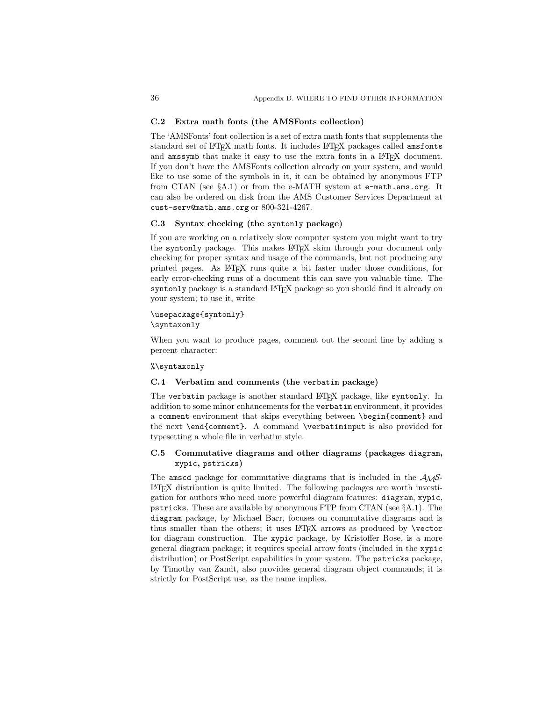### **C.2 Extra math fonts (the AMSFonts collection)**

The 'AMSFonts' font collection is a set of extra math fonts that supplements the standard set of LATEX math fonts. It includes LATEX packages called amsfonts and amssymb that make it easy to use the extra fonts in a LAT<sub>EX</sub> document. If you don't have the AMSFonts collection already on your system, and would like to use some of the symbols in it, it can be obtained by anonymous FTP from CTAN (see  $\S$ A.1) or from the e-MATH system at e-math.ams.org. It can also be ordered on disk from the AMS Customer Services Department at cust-serv@math.ams.org or 800-321-4267.

#### **C.3 Syntax checking (the** syntonly **package)**

If you are working on a relatively slow computer system you might want to try the syntonly package. This makes L<sup>AT</sup>EX skim through your document only checking for proper syntax and usage of the commands, but not producing any printed pages. As LATEX runs quite a bit faster under those conditions, for early error-checking runs of a document this can save you valuable time. The syntonly package is a standard LATEX package so you should find it already on your system; to use it, write

#### \usepackage{syntonly} \syntaxonly

When you want to produce pages, comment out the second line by adding a percent character:

#### %\syntaxonly

### **C.4 Verbatim and comments (the** verbatim **package)**

The verbatim package is another standard L<sup>AT</sup>FX package, like syntonly. In addition to some minor enhancements for the verbatim environment, it provides a comment environment that skips everything between \begin{comment} and the next \end{comment}. A command \verbatiminput is also provided for typesetting a whole file in verbatim style.

### **C.5 Commutative diagrams and other diagrams (packages** diagram**,** xypic**,** pstricks**)**

The amscd package for commutative diagrams that is included in the  $A\mathcal{M}S$ -LATEX distribution is quite limited. The following packages are worth investigation for authors who need more powerful diagram features: diagram, xypic, pstricks. These are available by anonymous FTP from CTAN (see §A.1). The diagram package, by Michael Barr, focuses on commutative diagrams and is thus smaller than the others; it uses LAT<sub>EX</sub> arrows as produced by **\vector** for diagram construction. The xypic package, by Kristoffer Rose, is a more general diagram package; it requires special arrow fonts (included in the xypic distribution) or PostScript capabilities in your system. The pstricks package, by Timothy van Zandt, also provides general diagram object commands; it is strictly for PostScript use, as the name implies.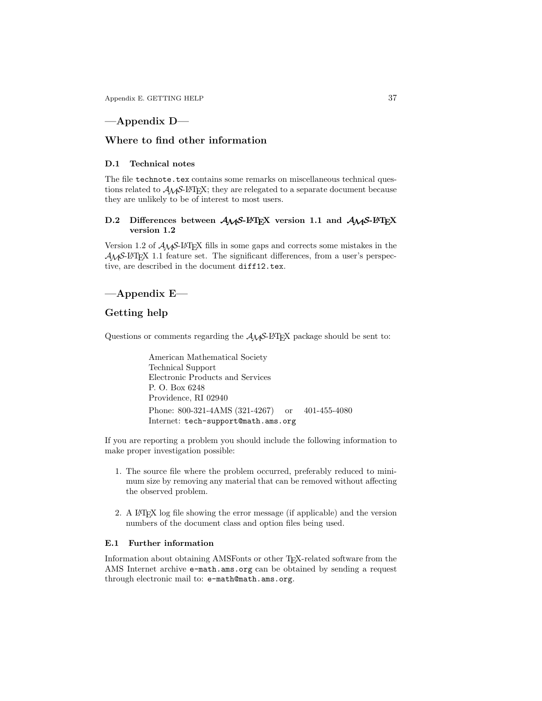Appendix E. GETTING HELP 37

# **—Appendix D—**

### **Where to find other information**

### **D.1 Technical notes**

The file technote.tex contains some remarks on miscellaneous technical questions related to  $A_{\mathcal{M}}\mathcal{S}\text{-}L\text{-}T_{\mathbf{E}}X$ ; they are relegated to a separate document because they are unlikely to be of interest to most users.

### **D.2 Differences between** *AMS***-LATEX version 1.1 and** *AMS***-LATEX version 1.2**

Version 1.2 of AMS-LATEX fills in some gaps and corrects some mistakes in the  $A_{\mathcal{M}}$ S-LAT<sub>E</sub>X 1.1 feature set. The significant differences, from a user's perspective, are described in the document diff12.tex.

# **—Appendix E—**

## **Getting help**

Questions or comments regarding the  $A\mathcal{M}S$ -L<sup>A</sup>T<sub>E</sub>X package should be sent to:

American Mathematical Society Technical Support Electronic Products and Services P. O. Box 6248 Providence, RI 02940 Phone: 800-321-4AMS (321-4267) or 401-455-4080 Internet: tech-support@math.ams.org

If you are reporting a problem you should include the following information to make proper investigation possible:

- 1. The source file where the problem occurred, preferably reduced to minimum size by removing any material that can be removed without affecting the observed problem.
- 2. A LATEX log file showing the error message (if applicable) and the version numbers of the document class and option files being used.

#### **E.1 Further information**

Information about obtaining AMSFonts or other T<sub>E</sub>X-related software from the AMS Internet archive e-math.ams.org can be obtained by sending a request through electronic mail to: e-math@math.ams.org.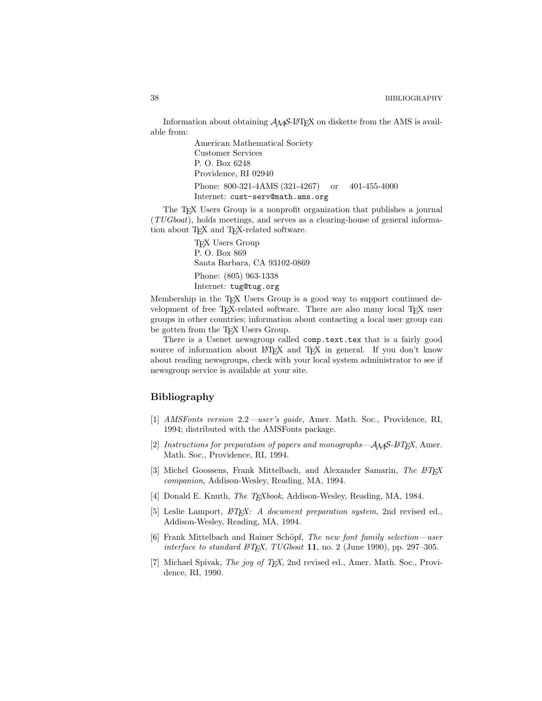Information about obtaining  $A_{\mathcal{M}}S$ -LAT<sub>E</sub>X on diskette from the AMS is available from:

> American Mathematical Society Customer Services P. O. Box 6248 Providence, RI 02940 Phone: 800-321-4AMS (321-4267) or 401-455-4000 Internet: cust-serv@math.ams.org

The T<sub>E</sub>X Users Group is a nonprofit organization that publishes a journal (TUGboat), holds meetings, and serves as a clearing-house of general information about T<sub>EX</sub> and T<sub>EX</sub>-related software.

> TEX Users Group P. O. Box 869 Santa Barbara, CA 93102-0869 Phone: (805) 963-1338 Internet: tug@tug.org

Membership in the TEX Users Group is a good way to support continued development of free TEX-related software. There are also many local TEX user groups in other countries; information about contacting a local user group can be gotten from the T<sub>E</sub>X Users Group.

There is a Usenet newsgroup called comp.text.tex that is a fairly good source of information about LATEX and TEX in general. If you don't know about reading newsgroups, check with your local system administrator to see if newsgroup service is available at your site.

### **Bibliography**

- [1] AMSFonts version 2.2—user's guide, Amer. Math. Soc., Providence, RI, 1994; distributed with the AMSFonts package.
- [2] Instructions for preparation of papers and monographs— $A_{\mathcal{M}}S$ -ETEX, Amer. Math. Soc., Providence, RI, 1994.
- [3] Michel Goossens, Frank Mittelbach, and Alexander Samarin, The  $E_{T}X$ companion, Addison-Wesley, Reading, MA, 1994.
- [4] Donald E. Knuth, *The TEXbook*, Addison-Wesley, Reading, MA, 1984.
- [5] Leslie Lamport,  $\cancel{B}T\cancel{p}X$ : A document preparation system, 2nd revised ed., Addison-Wesley, Reading, MA, 1994.
- [6] Frank Mittelbach and Rainer Schöpf, The new font family selection—user interface to standard  $BTFX$ ,  $TUGboat$  **11**, no. 2 (June 1990), pp. 297–305.
- [7] Michael Spivak, *The joy of T<sub>E</sub>X*, 2nd revised ed., Amer. Math. Soc., Providence, RI, 1990.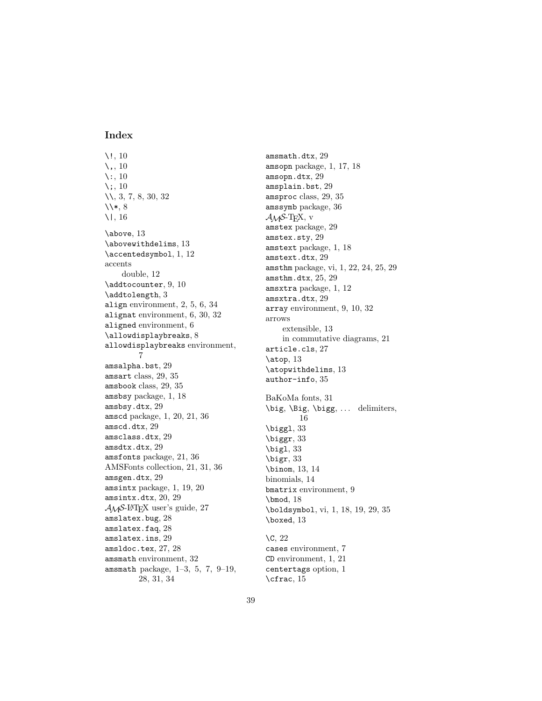### **Index**

\!, 10  $\lambda$ , 10 \:, 10  $\backslash$ ;, 10 \\, 3, 7, 8, 30, 32  $\1*$ , 8 \|, 16 \above, 13 \abovewithdelims, 13 \accentedsymbol, 1, 12 accents double, 12 \addtocounter, 9, 10 \addtolength, 3 align environment, 2, 5, 6, 34 alignat environment, 6, 30, 32 aligned environment, 6 \allowdisplaybreaks, 8 allowdisplaybreaks environment, 7 amsalpha.bst, 29 amsart class, 29, 35 amsbook class, 29, 35 amsbsy package, 1, 18 amsbsy.dtx, 29 amscd package, 1, 20, 21, 36 amscd.dtx, 29 amsclass.dtx, 29 amsdtx.dtx, 29 amsfonts package, 21, 36 AMSFonts collection, 21, 31, 36 amsgen.dtx, 29 amsintx package, 1, 19, 20 amsintx.dtx, 20, 29  $A_{\mathcal{M}}$ S-L<sup>AT</sup>FX user's guide, 27 amslatex.bug, 28 amslatex.faq, 28 amslatex.ins, 29 amsldoc.tex, 27, 28 amsmath environment, 32 amsmath package, 1–3, 5, 7, 9–19, 28, 31, 34

amsmath.dtx, 29 amsopn package, 1, 17, 18 amsopn.dtx, 29 amsplain.bst, 29 amsproc class, 29, 35 amssymb package, 36  $\mathcal{A} \mathcal{M}$ S-T<sub>F</sub>X, v amstex package, 29 amstex.sty, 29 amstext package, 1, 18 amstext.dtx, 29 amsthm package, vi, 1, 22, 24, 25, 29 amsthm.dtx, 25, 29 amsxtra package, 1, 12 amsxtra.dtx, 29 array environment, 9, 10, 32 arrows extensible, 13 in commutative diagrams, 21 article.cls, 27 \atop, 13 \atopwithdelims, 13 author-info, 35 BaKoMa fonts, 31 \big, \Big, \bigg, ... delimiters, 16 \biggl, 33 \biggr, 33 \bigl, 33 \bigr, 33 \binom, 13, 14 binomials, 14 bmatrix environment, 9 \bmod, 18 \boldsymbol, vi, 1, 18, 19, 29, 35 \boxed, 13 \C, 22 cases environment, 7 CD environment, 1, 21 centertags option, 1

\cfrac, 15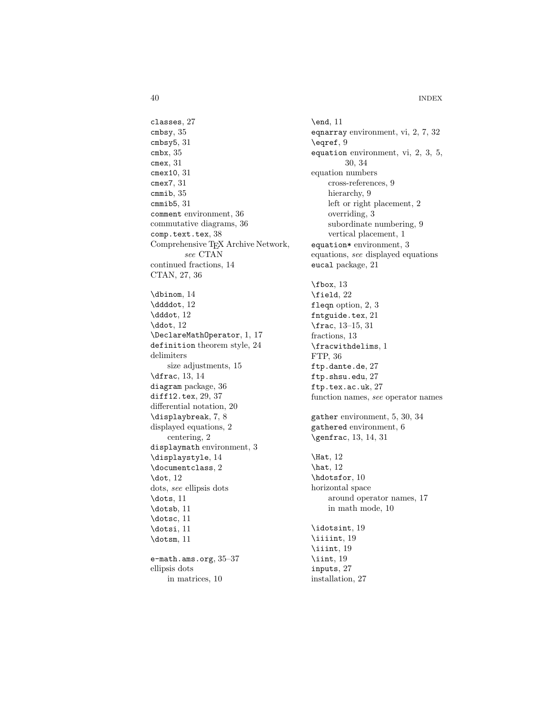40 INDEX

classes, 27 cmbsy, 35 cmbsy5, 31 cmbx, 35 cmex, 31 cmex10, 31 cmex7, 31 cmmib, 35 cmmib5, 31 comment environment, 36 commutative diagrams, 36 comp.text.tex, 38 Comprehensive T<sub>E</sub>X Archive Network, see CTAN continued fractions, 14 CTAN, 27, 36 \dbinom, 14 \ddddot, 12 \dddot, 12 \ddot, 12 \DeclareMathOperator, 1, 17 definition theorem style, 24 delimiters size adjustments, 15 \dfrac, 13, 14 diagram package, 36 diff12.tex, 29, 37 differential notation, 20 \displaybreak, 7, 8 displayed equations, 2 centering, 2 displaymath environment, 3 \displaystyle, 14 \documentclass, 2 \dot, 12 dots, see ellipsis dots \dots, 11 \dotsb, 11 \dotsc, 11 \dotsi, 11 \dotsm, 11 e-math.ams.org, 35–37 ellipsis dots in matrices, 10

\end, 11 eqnarray environment, vi, 2, 7, 32 \eqref, 9 equation environment, vi, 2, 3, 5, 30, 34 equation numbers cross-references, 9 hierarchy, 9 left or right placement, 2 overriding, 3 subordinate numbering, 9 vertical placement, 1 equation\* environment, 3 equations, see displayed equations eucal package, 21 \fbox, 13 \field, 22 fleqn option, 2, 3 fntguide.tex, 21 \frac, 13–15, 31 fractions, 13 \fracwithdelims, 1 FTP, 36 ftp.dante.de, 27 ftp.shsu.edu, 27 ftp.tex.ac.uk, 27 function names, see operator names gather environment, 5, 30, 34 gathered environment, 6 \genfrac, 13, 14, 31 \Hat, 12 \hat, 12 \hdotsfor, 10 horizontal space around operator names, 17 in math mode, 10 \idotsint, 19 \iiiint, 19 \iiint, 19 \iint, 19 inputs, 27 installation, 27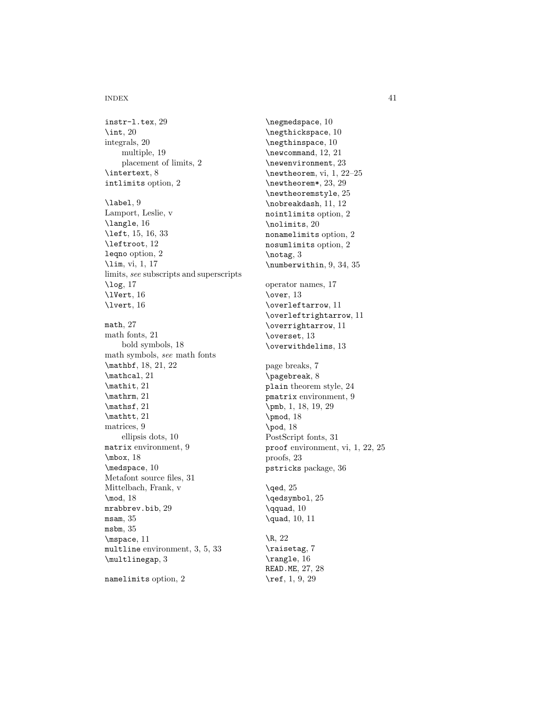#### INDEX 41

instr-l.tex, 29  $\int$ 1nt, 20 integrals, 20 multiple, 19 placement of limits, 2 \intertext, 8 intlimits option, 2 \label, 9 Lamport, Leslie, v \langle, 16 \left, 15, 16, 33 \leftroot, 12 leqno option, 2 \lim, vi, 1, 17 limits, see subscripts and superscripts \log, 17 \lVert, 16 \lvert, 16 math, 27 math fonts, 21 bold symbols, 18 math symbols, see math fonts \mathbf, 18, 21, 22 \mathcal, 21 \mathit, 21 \mathrm, 21 \mathsf, 21 \mathtt, 21 matrices, 9 ellipsis dots, 10 matrix environment, 9 \mbox, 18 \medspace, 10 Metafont source files, 31 Mittelbach, Frank, v \mod, 18 mrabbrev.bib, 29 msam, 35 msbm, 35 \mspace, 11 multline environment, 3, 5, 33  $\mathcal{L}$ namelimits option, 2

\negmedspace, 10 \negthickspace, 10 \negthinspace, 10 \newcommand, 12, 21 \newenvironment, 23 \newtheorem, vi, 1, 22–25 \newtheorem\*, 23, 29 \newtheoremstyle, 25 \nobreakdash, 11, 12 nointlimits option, 2 \nolimits, 20 nonamelimits option, 2 nosumlimits option, 2 \notag, 3 \numberwithin, 9, 34, 35 operator names, 17 \over, 13 \overleftarrow, 11 \overleftrightarrow, 11 \overrightarrow, 11 \overset, 13 \overwithdelims, 13 page breaks, 7 \pagebreak, 8 plain theorem style, 24 pmatrix environment, 9 \pmb, 1, 18, 19, 29 \pmod, 18 \pod, 18 PostScript fonts, 31 proof environment, vi, 1, 22, 25 proofs, 23 pstricks package, 36  $\text{Qed}, 25$ \qedsymbol, 25 \qquad, 10 \quad, 10, 11 \R, 22 \raisetag, 7 \rangle, 16 READ.ME, 27, 28

\ref, 1, 9, 29